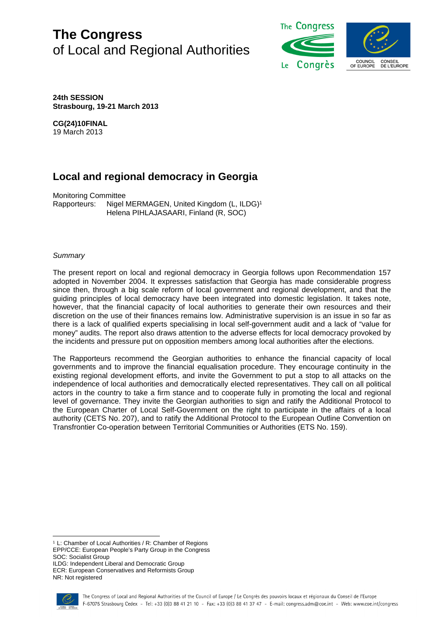# **The Congress** of Local and Regional Authorities



**24th SESSION Strasbourg, 19-21 March 2013**

**CG(24)10FINAL**

19 March 2013

# **Local and regional democracy in Georgia**

Monitoring Committee Rapporteurs: Nigel MERMAGEN, United Kingdom (L, ILDG)<sup>1</sup> Helena PIHLAJASAARI, Finland (R, SOC)

# *Summary*

The present report on local and regional democracy in Georgia follows upon Recommendation 157 adopted in November 2004. It expresses satisfaction that Georgia has made considerable progress since then, through a big scale reform of local government and regional development, and that the guiding principles of local democracy have been integrated into domestic legislation. It takes note, however, that the financial capacity of local authorities to generate their own resources and their discretion on the use of their finances remains low. Administrative supervision is an issue in so far as there is a lack of qualified experts specialising in local self-government audit and a lack of "value for money" audits. The report also draws attention to the adverse effects for local democracy provoked by the incidents and pressure put on opposition members among local authorities after the elections.

The Rapporteurs recommend the Georgian authorities to enhance the financial capacity of local governments and to improve the financial equalisation procedure. They encourage continuity in the existing regional development efforts, and invite the Government to put a stop to all attacks on the independence of local authorities and democratically elected representatives. They call on all political actors in the country to take a firm stance and to cooperate fully in promoting the local and regional level of governance. They invite the Georgian authorities to sign and ratify the Additional Protocol to the European Charter of Local Self-Government on the right to participate in the affairs of a local authority (CETS No. 207), and to ratify the Additional Protocol to the European Outline Convention on Transfrontier Co-operation between Territorial Communities or Authorities (ETS No. 159).

ILDG: Independent Liberal and Democratic Group

ECR: European Conservatives and Reformists Group NR: Not registered



<sup>1</sup> L: Chamber of Local Authorities / R: Chamber of Regions EPP/CCE: European People's Party Group in the Congress SOC: Socialist Group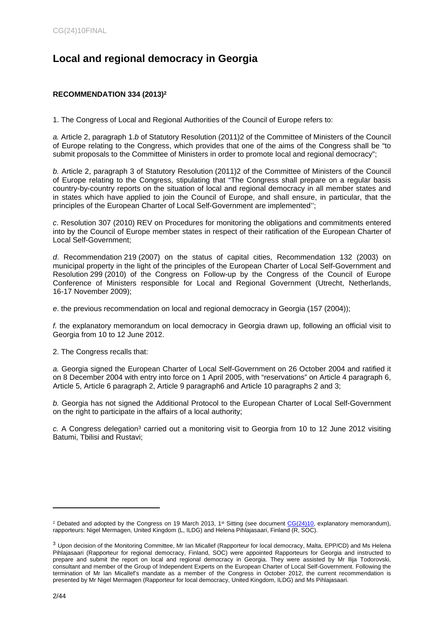# **Local and regional democracy in Georgia**

# **RECOMMENDATION 334 (2013)<sup>2</sup>**

1. The Congress of Local and Regional Authorities of the Council of Europe refers to:

*a.* Article 2, paragraph 1.*b* of Statutory Resolution (2011)2 of the Committee of Ministers of the Council of Europe relating to the Congress, which provides that one of the aims of the Congress shall be "to submit proposals to the Committee of Ministers in order to promote local and regional democracy";

*b.* Article 2, paragraph 3 of Statutory Resolution (2011)2 of the Committee of Ministers of the Council of Europe relating to the Congress, stipulating that "The Congress shall prepare on a regular basis country-by-country reports on the situation of local and regional democracy in all member states and in states which have applied to join the Council of Europe, and shall ensure, in particular, that the principles of the European Charter of Local Self-Government are implemented'';

*c*. Resolution 307 (2010) REV on Procedures for monitoring the obligations and commitments entered into by the Council of Europe member states in respect of their ratification of the European Charter of Local Self-Government;

*d*. Recommendation 219 (2007) on the status of capital cities, Recommendation 132 (2003) on municipal property in the light of the principles of the European Charter of Local Self-Government and Resolution 299 (2010) of the Congress on Follow-up by the Congress of the Council of Europe Conference of Ministers responsible for Local and Regional Government (Utrecht, Netherlands, 16-17 November 2009);

*e*. the previous recommendation on local and regional democracy in Georgia (157 (2004));

*f.* the explanatory memorandum on local democracy in Georgia drawn up, following an official visit to Georgia from 10 to 12 June 2012.

2. The Congress recalls that:

*a.* Georgia signed the European Charter of Local Self-Government on 26 October 2004 and ratified it on 8 December 2004 with entry into force on 1 April 2005, with "reservations" on Article 4 paragraph 6, Article 5, Article 6 paragraph 2, Article 9 paragraph6 and Article 10 paragraphs 2 and 3;

*b.* Georgia has not signed the Additional Protocol to the European Charter of Local Self-Government on the right to participate in the affairs of a local authority;

c. A Congress delegation<sup>3</sup> carried out a monitoring visit to Georgia from 10 to 12 June 2012 visiting Batumi, Tbilisi and Rustavi;

<sup>&</sup>lt;sup>2</sup> Debated and adopted by the Congress on 19 March 2013, 1<sup>st</sup> Sitting (see document  $CG(24)10$ , explanatory memorandum), rapporteurs: Nigel Mermagen, United Kingdom (L, ILDG) and Helena Pihlajasaari, Finland (R, SOC).

<sup>3</sup> Upon decision of the Monitoring Committee, Mr Ian Micallef (Rapporteur for local democracy, Malta, EPP/CD) and Ms Helena Pihlajasaari (Rapporteur for regional democracy, Finland, SOC) were appointed Rapporteurs for Georgia and instructed to prepare and submit the report on local and regional democracy in Georgia. They were assisted by Mr Ilija Todorovski, consultant and member of the Group of Independent Experts on the European Charter of Local Self-Government. Following the termination of Mr Ian Micallef's mandate as a member of the Congress in October 2012, the current recommendation is presented by Mr Nigel Mermagen (Rapporteur for local democracy, United Kingdom, ILDG) and Ms Pihlajasaari.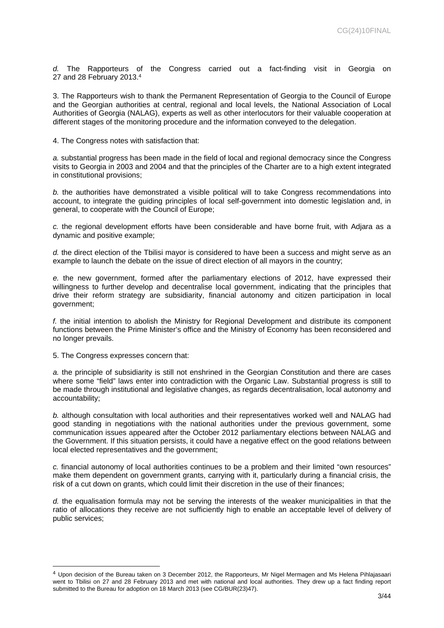*d.* The Rapporteurs of the Congress carried out a fact-finding visit in Georgia on 27 and 28 February 2013.<sup>4</sup>

3. The Rapporteurs wish to thank the Permanent Representation of Georgia to the Council of Europe and the Georgian authorities at central, regional and local levels, the National Association of Local Authorities of Georgia (NALAG), experts as well as other interlocutors for their valuable cooperation at different stages of the monitoring procedure and the information conveyed to the delegation.

4. The Congress notes with satisfaction that:

*a.* substantial progress has been made in the field of local and regional democracy since the Congress visits to Georgia in 2003 and 2004 and that the principles of the Charter are to a high extent integrated in constitutional provisions;

*b.* the authorities have demonstrated a visible political will to take Congress recommendations into account, to integrate the guiding principles of local self-government into domestic legislation and, in general, to cooperate with the Council of Europe;

*c.* the regional development efforts have been considerable and have borne fruit, with Adjara as a dynamic and positive example;

*d.* the direct election of the Tbilisi mayor is considered to have been a success and might serve as an example to launch the debate on the issue of direct election of all mayors in the country;

*e.* the new government, formed after the parliamentary elections of 2012, have expressed their willingness to further develop and decentralise local government, indicating that the principles that drive their reform strategy are subsidiarity, financial autonomy and citizen participation in local government;

*f.* the initial intention to abolish the Ministry for Regional Development and distribute its component functions between the Prime Minister's office and the Ministry of Economy has been reconsidered and no longer prevails.

5. The Congress expresses concern that:

*a.* the principle of subsidiarity is still not enshrined in the Georgian Constitution and there are cases where some "field" laws enter into contradiction with the Organic Law. Substantial progress is still to be made through institutional and legislative changes, as regards decentralisation, local autonomy and accountability;

*b.* although consultation with local authorities and their representatives worked well and NALAG had good standing in negotiations with the national authorities under the previous government, some communication issues appeared after the October 2012 parliamentary elections between NALAG and the Government. If this situation persists, it could have a negative effect on the good relations between local elected representatives and the government;

*c.* financial autonomy of local authorities continues to be a problem and their limited "own resources" make them dependent on government grants, carrying with it, particularly during a financial crisis, the risk of a cut down on grants, which could limit their discretion in the use of their finances;

*d.* the equalisation formula may not be serving the interests of the weaker municipalities in that the ratio of allocations they receive are not sufficiently high to enable an acceptable level of delivery of public services;

<sup>4</sup> Upon decision of the Bureau taken on 3 December 2012, the Rapporteurs, Mr Nigel Mermagen and Ms Helena Pihlajasaari went to Tbilisi on 27 and 28 February 2013 and met with national and local authorities. They drew up a fact finding report submitted to the Bureau for adoption on 18 March 2013 (see CG/BUR(23)47).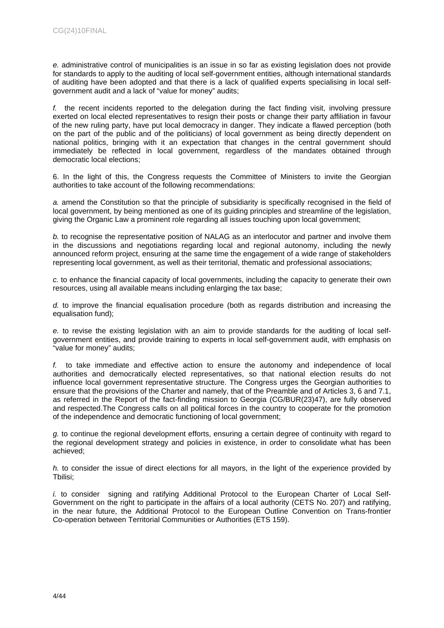*e.* administrative control of municipalities is an issue in so far as existing legislation does not provide for standards to apply to the auditing of local self-government entities, although international standards of auditing have been adopted and that there is a lack of qualified experts specialising in local selfgovernment audit and a lack of "value for money" audits;

*f.* the recent incidents reported to the delegation during the fact finding visit, involving pressure exerted on local elected representatives to resign their posts or change their party affiliation in favour of the new ruling party, have put local democracy in danger. They indicate a flawed perception (both on the part of the public and of the politicians) of local government as being directly dependent on national politics, bringing with it an expectation that changes in the central government should immediately be reflected in local government, regardless of the mandates obtained through democratic local elections;

6. In the light of this, the Congress requests the Committee of Ministers to invite the Georgian authorities to take account of the following recommendations:

*a.* amend the Constitution so that the principle of subsidiarity is specifically recognised in the field of local government, by being mentioned as one of its guiding principles and streamline of the legislation, giving the Organic Law a prominent role regarding all issues touching upon local government;

*b.* to recognise the representative position of NALAG as an interlocutor and partner and involve them in the discussions and negotiations regarding local and regional autonomy, including the newly announced reform project, ensuring at the same time the engagement of a wide range of stakeholders representing local government, as well as their territorial, thematic and professional associations;

*c.* to enhance the financial capacity of local governments, including the capacity to generate their own resources, using all available means including enlarging the tax base;

*d.* to improve the financial equalisation procedure (both as regards distribution and increasing the equalisation fund);

*e.* to revise the existing legislation with an aim to provide standards for the auditing of local selfgovernment entities, and provide training to experts in local self-government audit, with emphasis on "value for money" audits;

*f.* to take immediate and effective action to ensure the autonomy and independence of local authorities and democratically elected representatives, so that national election results do not influence local government representative structure. The Congress urges the Georgian authorities to ensure that the provisions of the Charter and namely, that of the Preamble and of Articles 3, 6 and 7.1, as referred in the Report of the fact-finding mission to Georgia (CG/BUR(23)47), are fully observed and respected.The Congress calls on all political forces in the country to cooperate for the promotion of the independence and democratic functioning of local government;

*g.* to continue the regional development efforts, ensuring a certain degree of continuity with regard to the regional development strategy and policies in existence, in order to consolidate what has been achieved;

*h.* to consider the issue of direct elections for all mayors, in the light of the experience provided by Tbilisi;

*i.* to consider signing and ratifying Additional Protocol to the European Charter of Local Self-Government on the right to participate in the affairs of a local authority (CETS No. 207) and ratifying, in the near future, the Additional Protocol to the European Outline Convention on Trans-frontier Co-operation between Territorial Communities or Authorities (ETS 159).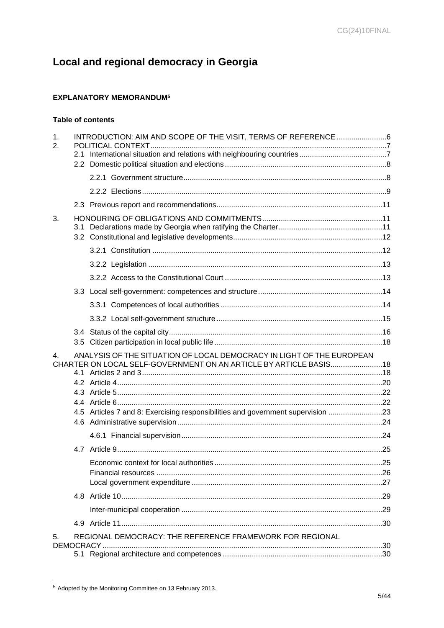# Local and regional democracy in Georgia

# **EXPLANATORY MEMORANDUM<sup>5</sup>**

# Table of contents

| 1.<br>2. | 2.1 | INTRODUCTION: AIM AND SCOPE OF THE VISIT, TERMS OF REFERENCE 6                                                                                                                                                                |  |
|----------|-----|-------------------------------------------------------------------------------------------------------------------------------------------------------------------------------------------------------------------------------|--|
|          |     |                                                                                                                                                                                                                               |  |
|          |     |                                                                                                                                                                                                                               |  |
|          |     |                                                                                                                                                                                                                               |  |
|          |     |                                                                                                                                                                                                                               |  |
| 3.       |     |                                                                                                                                                                                                                               |  |
|          |     |                                                                                                                                                                                                                               |  |
|          |     |                                                                                                                                                                                                                               |  |
|          |     |                                                                                                                                                                                                                               |  |
|          |     |                                                                                                                                                                                                                               |  |
|          |     |                                                                                                                                                                                                                               |  |
|          |     |                                                                                                                                                                                                                               |  |
|          |     |                                                                                                                                                                                                                               |  |
|          |     |                                                                                                                                                                                                                               |  |
|          |     |                                                                                                                                                                                                                               |  |
| 4.       |     | ANALYSIS OF THE SITUATION OF LOCAL DEMOCRACY IN LIGHT OF THE EUROPEAN<br>CHARTER ON LOCAL SELF-GOVERNMENT ON AN ARTICLE BY ARTICLE BASIS18<br>4.5 Articles 7 and 8: Exercising responsibilities and government supervision 23 |  |
|          |     |                                                                                                                                                                                                                               |  |
|          |     |                                                                                                                                                                                                                               |  |
|          |     |                                                                                                                                                                                                                               |  |
|          |     |                                                                                                                                                                                                                               |  |
|          |     |                                                                                                                                                                                                                               |  |
|          |     |                                                                                                                                                                                                                               |  |
|          |     |                                                                                                                                                                                                                               |  |
| 5.       |     | REGIONAL DEMOCRACY: THE REFERENCE FRAMEWORK FOR REGIONAL                                                                                                                                                                      |  |

<sup>&</sup>lt;sup>5</sup> Adopted by the Monitoring Committee on 13 February 2013.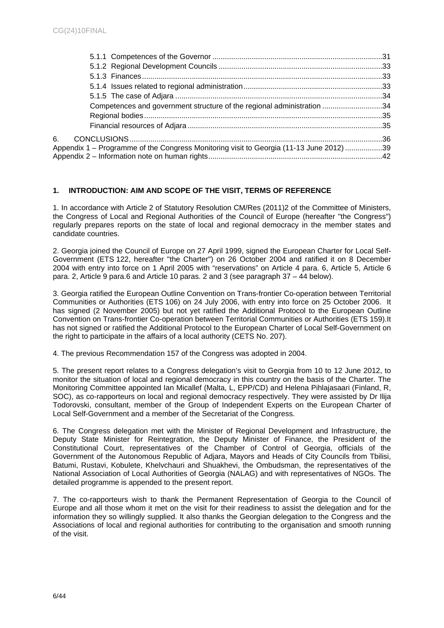| Competences and government structure of the regional administration 34                  |  |
|-----------------------------------------------------------------------------------------|--|
|                                                                                         |  |
|                                                                                         |  |
|                                                                                         |  |
| Appendix 1 – Programme of the Congress Monitoring visit to Georgia (11-13 June 2012) 39 |  |
|                                                                                         |  |

# <span id="page-5-0"></span>**1. INTRODUCTION: AIM AND SCOPE OF THE VISIT, TERMS OF REFERENCE**

1. In accordance with Article 2 of Statutory Resolution CM/Res (2011)2 of the Committee of Ministers, the Congress of Local and Regional Authorities of the Council of Europe (hereafter "the Congress") regularly prepares reports on the state of local and regional democracy in the member states and candidate countries.

2. Georgia joined the Council of Europe on 27 April 1999, signed the European Charter for Local Self-Government (ETS 122, hereafter "the Charter") on 26 October 2004 and ratified it on 8 December 2004 with entry into force on 1 April 2005 with "reservations" on Article 4 para. 6, Article 5, Article 6 para. 2, Article 9 para.6 and Article 10 paras. 2 and 3 (see paragraph 37 – 44 below).

3. Georgia ratified the European Outline Convention on Trans-frontier Co-operation between Territorial Communities or Authorities (ETS 106) on 24 July 2006, with entry into force on 25 October 2006. It has signed (2 November 2005) but not yet ratified the Additional Protocol to the European Outline Convention on Trans-frontier Co-operation between Territorial Communities or Authorities (ETS 159).It has not signed or ratified the Additional Protocol to the European Charter of Local Self-Government on the right to participate in the affairs of a local authority (CETS No. 207).

4. The previous Recommendation 157 of the Congress was adopted in 2004.

5. The present report relates to a Congress delegation's visit to Georgia from 10 to 12 June 2012, to monitor the situation of local and regional democracy in this country on the basis of the Charter. The Monitoring Committee appointed Ian Micallef (Malta, L, EPP/CD) and Helena Pihlajasaari (Finland, R, SOC), as co-rapporteurs on local and regional democracy respectively. They were assisted by Dr Ilija Todorovski, consultant, member of the Group of Independent Experts on the European Charter of Local Self-Government and a member of the Secretariat of the Congress.

6. The Congress delegation met with the Minister of Regional Development and Infrastructure, the Deputy State Minister for Reintegration, the Deputy Minister of Finance, the President of the Constitutional Court, representatives of the Chamber of Control of Georgia, officials of the Government of the Autonomous Republic of Adjara, Mayors and Heads of City Councils from Tbilisi, Batumi, Rustavi, Kobulete, Khelvchauri and Shuakhevi, the Ombudsman, the representatives of the National Association of Local Authorities of Georgia (NALAG) and with representatives of NGOs. The detailed programme is appended to the present report.

7. The co-rapporteurs wish to thank the Permanent Representation of Georgia to the Council of Europe and all those whom it met on the visit for their readiness to assist the delegation and for the information they so willingly supplied. It also thanks the Georgian delegation to the Congress and the Associations of local and regional authorities for contributing to the organisation and smooth running of the visit.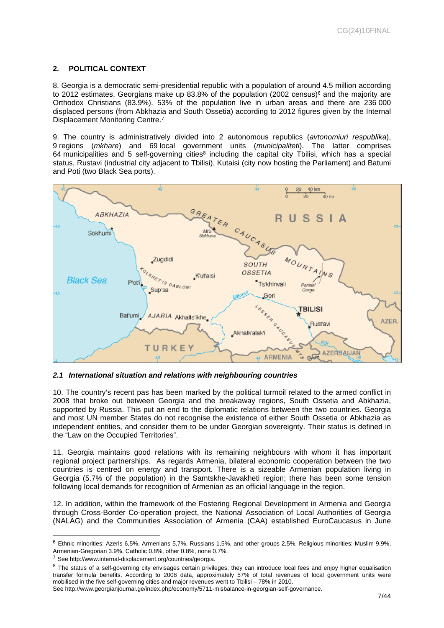# <span id="page-6-0"></span>**2. POLITICAL CONTEXT**

8. Georgia is a democratic [semi-presidential](http://en.wikipedia.org/wiki/Semi-presidential) republic with a population of around 4.5 million according to 2012 estimates. Georgians make up 83.8% of the population (2002 census)<sup>6</sup> and the majority are Orthodox Christians (83.9%). 53% of the population live in urban areas and there are 236 000 displaced persons (from Abkhazia and South Ossetia) according to 2012 figures given by the Internal Displacement Monitoring Centre.<sup>7</sup>

9. The country is administratively divided into 2 autonomous republics (*avtonomiuri respublika*), 9 regions (*mkhare*) and 69 local government units (*municipaliteti*). The latter comprises 64 municipalities and 5 self-governing cities<sup>8</sup> including the capital city Tbilisi, which has a special status, Rustavi (industrial city adjacent to Tbilisi), Kutaisi (city now hosting the Parliament) and Batumi and Poti (two Black Sea ports).



<span id="page-6-1"></span>*2.1 International situation and relations with neighbouring countries* 

10. The country's recent pas has been marked by the political turmoil related to the armed conflict in 2008 that broke out between Georgia and the breakaway regions, South Ossetia and Abkhazia, supported by Russia. This put an end to the diplomatic relations between the two countries. Georgia [and most UN member States do not recognise](http://en.wikipedia.org/wiki/Administrative_divisions_of_Georgia_(country)) the existence of either South Ossetia or Abkhazia as independent entities, and consider them to be under Georgian sovereignty. Their status is defined in the "Law on the Occupied Territories".

11. Georgia maintains good relations with its remaining neighbours with whom it has important regional project partnerships. As regards [Armenia,](http://en.wikipedia.org/wiki/Armenia) bilateral economic cooperation between the two countries is centred on energy and transport. There is a sizeable Armenian population living in Georgia (5.7% of the population) in the Samtskhe[-Javakheti](http://en.wikipedia.org/wiki/Javakheti) region; there has been some tension following local demands for recognition of Armenian as an official language in the region.

12. In addition, within the framework of the Fostering Regional Development in Armenia and Georgia through Cross-Border Co-operation project, the National Association of Local Authorities of Georgia (NALAG) and the Communities Association of Armenia (CAA) established EuroCaucasus in June

<sup>6</sup> Ethnic minorities: Azeris 6,5%, Armenians 5,7%, Russians 1,5%, and other groups 2,5%. Religious minorities: Muslim 9.9%, Armenian-Gregorian 3.9%, Catholic 0.8%, other 0.8%, none 0.7%.

<sup>7</sup> See http://www.internal-displacement.org/countries/georgia.

<sup>&</sup>lt;sup>8</sup> The status of a self-governing city envisages certain privileges; they can introduce local fees and enjoy higher equalisation transfer formula benefits. According to 2008 data, approximately 57% of total revenues of local government units were mobilised in the five self-governing cities and major revenues went to Tbilisi – 78% in 2010.

See http://www.georgianjournal.ge/index.php/economy/5711-misbalance-in-georgian-self-governance.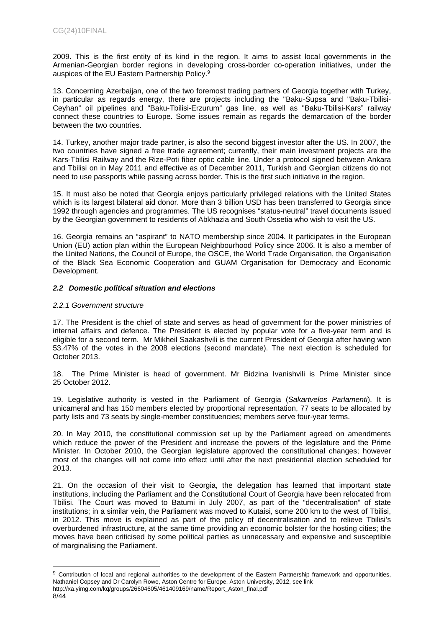2009. This is the first entity of its kind in the region. It aims to assist local governments in the Armenian-Georgian border regions in developing cross-border co-operation initiatives, under the auspices of the EU Eastern Partnership Policy.<sup>9</sup>

13. Concerning Azerbaijan, one of the two foremost trading partners of Georgia together with Turkey, in particular as regards energy, there are projects including the ["Baku-Supsa](http://en.wikipedia.org/wiki/Baku-Supsa_Pipeline) and ["Baku-Tbilisi-](http://en.wikipedia.org/wiki/Baku-Tbilisi-Ceyhan_pipeline)[Ceyhan"](http://en.wikipedia.org/wiki/Baku-Tbilisi-Ceyhan_pipeline) oil pipelines and ["Baku-Tbilisi-Erzurum" gas line,](http://en.wikipedia.org/wiki/South_Caucasus_Pipeline) as well as "Baku-Tbilisi-Kars" railway connect these countries to Europe. Some issues remain as regards the demarcation of the border between the two countries.

14. [Turkey](http://en.wikipedia.org/wiki/Turkey), another major trade partner, is also the second biggest investor after the US. In 2007, the two countries have signed a free trade agreement; currently, their main investment projects are the Kars-Tbilisi Railway and the Rize-Poti fiber optic cable line. Under a protocol signed between Ankara and Tbilisi on in May 2011 and effective as of December 2011, Turkish and Georgian citizens do not need to use passports while passing across border. This is the first such initiative in the region.

15. It must also be noted that Georgia enjoys particularly privileged relations with the United States which is its largest bilateral aid donor. More than 3 billion USD has been transferred to Georgia since 1992 through agencies and programmes. The US recognises "status-neutral" travel documents issued by the Georgian government to residents of Abkhazia and South Ossetia who wish to visit the US.

16. Georgia remains an "aspirant" to NATO membership since 2004. It participates in the European Union (EU) action plan within the [European Neighbourhood Policy](http://en.wikipedia.org/wiki/European_Neighborhood_Policy) since 2006. It is also a member of the United Nations, the [Council of Europe](http://en.wikipedia.org/wiki/Council_of_Europe), the OSCE, the [World Trade Organisation,](http://en.wikipedia.org/wiki/World_Trade_Organization) the [Organisation](http://en.wikipedia.org/wiki/Organization_of_the_Black_Sea_Economic_Cooperation)  [of the Black Sea Economic Cooperation](http://en.wikipedia.org/wiki/Organization_of_the_Black_Sea_Economic_Cooperation) and GUAM Organisation for Democracy and Economic Development.

# <span id="page-7-0"></span>*2.2 Domestic political situation and elections*

# <span id="page-7-1"></span>*2.2.1 Government structure*

17. The President is the chief of state and serves as head of government for the power ministries of internal affairs and defence. The President is elected by popular vote for a five-year term and is eligible for a second term. Mr Mikheil Saakashvili is the current President of Georgia after having won 53.47% of the votes in the [2008 election](http://en.wikipedia.org/wiki/Georgian_presidential_election,_2008)s (second mandate). The next election is scheduled for October 2013.

18. The Prime Minister is head of government. Mr Bidzina Ivanishvili is Prime Minister since 25 October 2012.

19. [Legislative](http://en.wikipedia.org/wiki/Legislature) authority is vested in the [Parliament of Georgia](http://en.wikipedia.org/wiki/Parliament_of_Georgia) (*Sakartvelos Parlamenti*). It is unicameral and has 150 members elected by proportional representation, 77 seats to be allocated by party lists and 73 seats by single-member constituencies; members serve four-year terms.

20. In May 2010, the constitutional commission set up by the Parliament agreed on amendments which reduce the power of the President and increase the powers of the legislature and the Prime Minister. In October 2010, the Georgian legislature approved the constitutional changes; however most of the changes will not come into effect until after the next presidential election scheduled for 2013.

21. On the occasion of their visit to Georgia, the delegation has learned that important state institutions, including the Parliament and the Constitutional Court of Georgia have been relocated from Tbilisi. The Court was moved to Batumi in July 2007, as part of the "decentralisation" of state institutions; in a similar vein, the Parliament was moved to Kutaisi, some 200 km to the west of Tbilisi, in 2012. This move is explained as part of the policy of decentralisation and to relieve Tbilisi's overburdened infrastructure, at the same time providing an economic bolster for the hosting cities; the moves have been criticised by some political parties as unnecessary and expensive and susceptible of marginalising the Parliament.

<sup>&</sup>lt;sup>9</sup> Contribution of local and regional authorities to the development of the Eastern Partnership framework and opportunities, Nathaniel Copsey and Dr Carolyn Rowe, Aston Centre for Europe, Aston University, 2012, see link

<sup>8/44</sup> [http://xa.yimg.com/kq/groups/26604605/461409169/name/Report\\_Aston\\_final.pdf](http://xa.yimg.com/kq/groups/26604605/461409169/name/Report_Aston_final.pdf)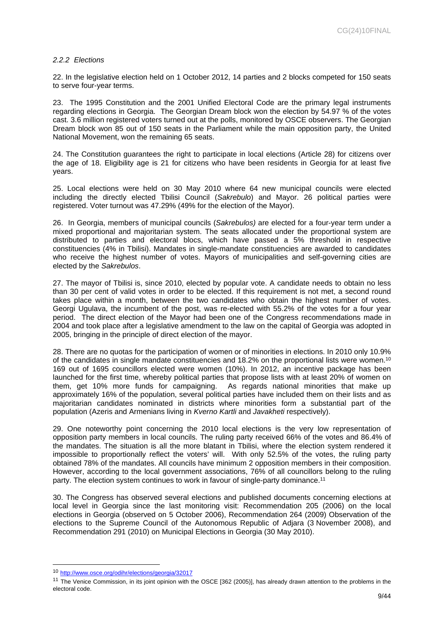# <span id="page-8-0"></span>*2.2.2 Elections*

22. In the legislative election held on 1 October 2012, 14 parties and 2 blocks competed for 150 seats to serve four-year terms.

23. The 1995 Constitution and the 2001 Unified Electoral Code are the primary legal instruments regarding elections in Georgia. The Georgian Dream block won the election by 54.97 % of the votes cast. 3.6 million registered voters turned out at the polls, monitored by OSCE observers. The Georgian Dream block won 85 out of 150 seats in the Parliament while the main opposition party, the United National Movement, won the remaining 65 seats.

24. The Constitution guarantees the right to participate in local elections (Article 28) for citizens over the age of 18. Eligibility age is 21 for citizens who have been residents in Georgia for at least five years.

25. Local elections were held on 30 May 2010 where 64 new municipal councils were elected including the directly elected Tbilisi Council (*Sakrebulo*) and Mayor. 26 political parties were registered. Voter turnout was 47.29% (49% for the election of the Mayor).

26. In Georgia, members of municipal councils (*Sakrebulos)* are elected for a four-year term under a mixed proportional and majoritarian system. The seats allocated under the proportional system are distributed to parties and electoral blocs, which have passed a 5% threshold in respective constituencies (4% in Tbilisi). Mandates in single-mandate constituencies are awarded to candidates who receive the highest number of votes. Mayors of municipalities and self-governing cities are elected by the *Sakrebulos*.

27. The mayor of Tbilisi is, since 2010, elected by popular vote. A candidate needs to obtain no less than 30 per cent of valid votes in order to be elected. If this requirement is not met, a second round takes place within a month, between the two candidates who obtain the highest number of votes. Georgi Ugulava, the incumbent of the post, was re-elected with 55.2% of the votes for a four year period. The direct election of the Mayor had been one of the Congress recommendations made in 2004 and took place after a legislative amendment to the law on the capital of Georgia was adopted in 2005, bringing in the principle of direct election of the mayor.

28. There are no quotas for the participation of women or of minorities in elections. In 2010 only 10.9% of the candidates in single mandate constituencies and 18.2% on the proportional lists were women.<sup>10</sup> 169 out of 1695 councillors elected were women (10%). In 2012, an incentive package has been launched for the first time, whereby political parties that propose lists with at least 20% of women on them, get 10% more funds for campaigning. As regards national minorities that make up approximately 16% of the population, several political parties have included them on their lists and as majoritarian candidates nominated in districts where minorities form a substantial part of the population (Azeris and Armenians living in *Kverno Kartli* and *Javakheti* respectively).

29. One noteworthy point concerning the 2010 local elections is the very low representation of opposition party members in local councils. The ruling party received 66% of the votes and 86.4% of the mandates. The situation is all the more blatant in Tbilisi, where the election system rendered it impossible to proportionally reflect the voters' will. With only 52.5% of the votes, the ruling party obtained 78% of the mandates. All councils have minimum 2 opposition members in their composition. However, according to the local government associations, 76% of all councillors belong to the ruling party. The election system continues to work in favour of single-party dominance.<sup>11</sup>

30. The Congress has observed several elections and published documents concerning elections at local level in Georgia since the last monitoring visit: Recommendation 205 (2006) on the local elections in Georgia (observed on 5 October 2006), Recommendation 264 (2009) Observation of the elections to the Supreme Council of the Autonomous Republic of Adjara (3 November 2008), and Recommendation 291 (2010) on Municipal Elections in Georgia (30 May 2010).

<sup>10</sup> <http://www.osce.org/odihr/elections/georgia/32017>

<sup>&</sup>lt;sup>11</sup> The Venice Commission, in its joint opinion with the OSCE [362 (2005)], has already drawn attention to the problems in the electoral code.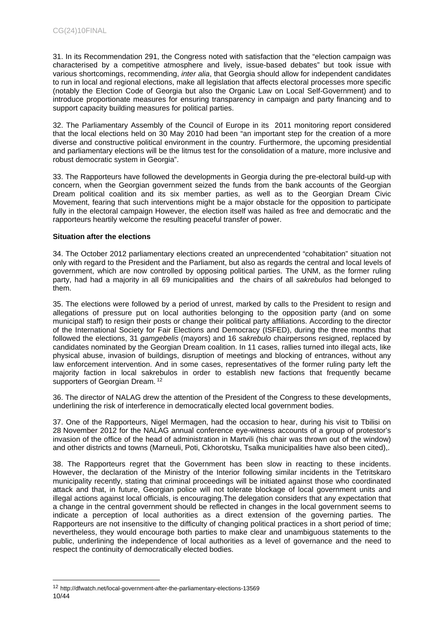31. In its Recommendation 291, the Congress noted with satisfaction that the "election campaign was characterised by a competitive atmosphere and lively, issue-based debates" but took issue with various shortcomings, recommending, *inter alia*, that Georgia should allow for independent candidates to run in local and regional elections, make all legislation that affects electoral processes more specific (notably the Election Code of Georgia but also the Organic Law on Local Self-Government) and to introduce proportionate measures for ensuring transparency in campaign and party financing and to support capacity building measures for political parties.

32. The Parliamentary Assembly of the Council of Europe in its 2011 monitoring report considered that the local elections held on 30 May 2010 had been "an important step for the creation of a more diverse and constructive political environment in the country. Furthermore, the upcoming presidential and parliamentary elections will be the litmus test for the consolidation of a mature, more inclusive and robust democratic system in Georgia".

33. The Rapporteurs have followed the developments in Georgia during the pre-electoral build-up with concern, when the Georgian government seized the funds from the bank accounts of the Georgian Dream political coalition and its six member parties, as well as to the Georgian Dream Civic Movement, fearing that such interventions might be a major obstacle for the opposition to participate fully in the electoral campaign However, the election itself was hailed as free and democratic and the rapporteurs heartily welcome the resulting peaceful transfer of power.

# **Situation after the elections**

34. The October 2012 parliamentary elections created an unprecendented "cohabitation" situation not only with regard to the President and the Parliament, but also as regards the central and local levels of government, which are now controlled by opposing political parties. The UNM, as the former ruling party, had had a majority in all 69 municipalities and the chairs of all *sakrebulos* had belonged to them.

35. The elections were followed by a period of unrest, marked by calls to the President to resign and allegations of pressure put on local authorities belonging to the opposition party (and on some municipal staff) to resign their posts or change their political party affiliations. According to the director of the International Society for Fair Elections and Democracy (ISFED), during the three months that followed the elections, 31 *gamgebelis* (mayors) and 16 *sakrebulo* chairpersons resigned, replaced by candidates nominated by the Georgian Dream coalition. In 11 cases, rallies turned into illegal acts, like physical abuse, invasion of buildings, disruption of meetings and blocking of entrances, without any law enforcement intervention. And in some cases, representatives of the former ruling party left the majority faction in local sakrebulos in order to establish new factions that frequently became supporters of Georgian Dream.<sup>12</sup>

36. The director of NALAG drew the attention of the President of the Congress to these developments, underlining the risk of interference in democratically elected local government bodies.

37. One of the Rapporteurs, Nigel Mermagen, had the occasion to hear, during his visit to Tbilisi on 28 November 2012 for the NALAG annual conference eye-witness accounts of a group of protestor's invasion of the office of the head of administration in Martvili (his chair was thrown out of the window) and other districts and towns (Marneuli, Poti, Ckhorotsku, Tsalka municipalities have also been cited),.

38. The Rapporteurs regret that the Government has been slow in reacting to these incidents. However, the declaration of the Ministry of the Interior following similar incidents in the Tetritskaro municipality recently, stating that criminal proceedings will be initiated against those who coordinated attack and that, in future, Georgian police will not tolerate blockage of local government units and illegal actions against local officials, is encouraging.The delegation considers that any expectation that a change in the central government should be reflected in changes in the local government seems to indicate a perception of local authorities as a direct extension of the governing parties. The Rapporteurs are not insensitive to the difficulty of changing political practices in a short period of time; nevertheless, they would encourage both parties to make clear and unambiguous statements to the public, underlining the independence of local authorities as a level of governance and the need to respect the continuity of democratically elected bodies.

<sup>10/44</sup> <sup>12</sup> http://dfwatch.net/local-government-after-the-parliamentary-elections-13569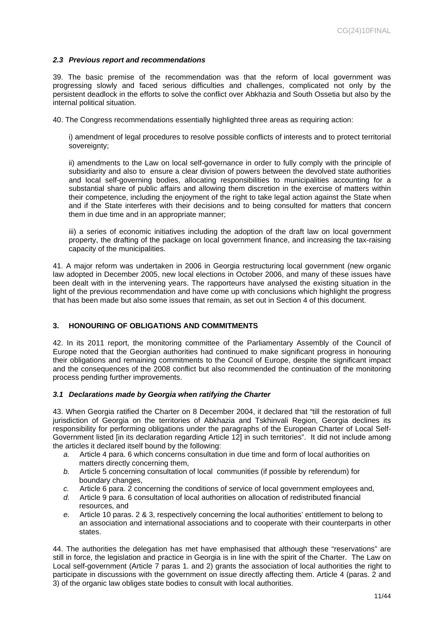# <span id="page-10-0"></span>*2.3 Previous report and recommendations*

39. The basic premise of the recommendation was that the reform of local government was progressing slowly and faced serious difficulties and challenges, complicated not only by the persistent deadlock in the efforts to solve the conflict over Abkhazia and South Ossetia but also by the internal political situation.

40. The Congress recommendations essentially highlighted three areas as requiring action:

i) amendment of legal procedures to resolve possible conflicts of interests and to protect territorial sovereignty;

ii) amendments to the Law on local self-governance in order to fully comply with the principle of subsidiarity and also to ensure a clear division of powers between the devolved state authorities and local self-governing bodies, allocating responsibilities to municipalities accounting for a substantial share of public affairs and allowing them discretion in the exercise of matters within their competence, including the enjoyment of the right to take legal action against the State when and if the State interferes with their decisions and to being consulted for matters that concern them in due time and in an appropriate manner;

iii) a series of economic initiatives including the adoption of the draft law on local government property, the drafting of the package on local government finance, and increasing the tax-raising capacity of the municipalities.

41. A major reform was undertaken in 2006 in Georgia restructuring local government (new organic law adopted in December 2005, new local elections in October 2006, and many of these issues have been dealt with in the intervening years. The rapporteurs have analysed the existing situation in the light of the previous recommendation and have come up with conclusions which highlight the progress that has been made but also some issues that remain, as set out in Section 4 of this document.

# <span id="page-10-1"></span>**3. HONOURING OF OBLIGATIONS AND COMMITMENTS**

42. In its 2011 report, the monitoring committee of the Parliamentary Assembly of the Council of Europe noted that the Georgian authorities had continued to make significant progress in honouring their obligations and remaining commitments to the Council of Europe, despite the significant impact and the consequences of the 2008 conflict but also recommended the continuation of the monitoring process pending further improvements.

# <span id="page-10-2"></span>*3.1 Declarations made by Georgia when ratifying the Charter*

43. When Georgia ratified the Charter on 8 December 2004, it declared that "till the restoration of full jurisdiction of Georgia on the territories of Abkhazia and Tskhinvali Region, Georgia declines its responsibility for performing obligations under the paragraphs of the European Charter of Local Self-Government listed [in its declaration regarding Article 12] in such territories". It did not include among the articles it declared itself bound by the following:

- *a.* Article 4 para. 6 which concerns consultation in due time and form of local authorities on matters directly concerning them,
- *b.* Article 5 concerning consultation of local communities (if possible by referendum) for boundary changes,
- *c.* Article 6 para. 2 concerning the conditions of service of local government employees and,
- *d.* Article 9 para. 6 consultation of local authorities on allocation of redistributed financial resources, and
- *e.* Article 10 paras. 2 & 3, respectively concerning the local authorities' entitlement to belong to an association and international associations and to cooperate with their counterparts in other states.

44. The authorities the delegation has met have emphasised that although these "reservations" are still in force, the legislation and practice in Georgia is in line with the spirit of the Charter. The Law on Local self-government (Article 7 paras 1. and 2) grants the association of local authorities the right to participate in discussions with the government on issue directly affecting them. Article 4 (paras. 2 and 3) of the organic law obliges state bodies to consult with local authorities.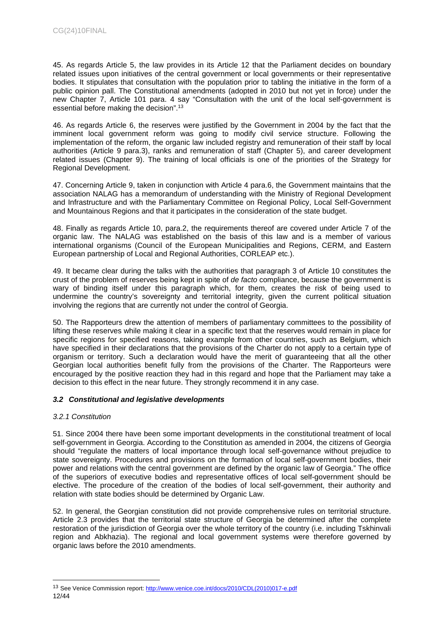45. As regards Article 5, the law provides in its Article 12 that the Parliament decides on boundary related issues upon initiatives of the central government or local governments or their representative bodies. It stipulates that consultation with the population prior to tabling the initiative in the form of a public opinion pall. The Constitutional amendments (adopted in 2010 but not yet in force) under the new Chapter 7, Article 101 para. 4 say "Consultation with the unit of the local self-government is essential before making the decision".<sup>13</sup>

46. As regards Article 6, the reserves were justified by the Government in 2004 by the fact that the imminent local government reform was going to modify civil service structure. Following the implementation of the reform, the organic law included registry and remuneration of their staff by local authorities (Article 9 para.3), ranks and remuneration of staff (Chapter 5), and career development related issues (Chapter 9). The training of local officials is one of the priorities of the Strategy for Regional Development.

47. Concerning Article 9, taken in conjunction with Article 4 para.6, the Government maintains that the association NALAG has a memorandum of understanding with the Ministry of Regional Development and Infrastructure and with the Parliamentary Committee on Regional Policy, Local Self-Government and Mountainous Regions and that it participates in the consideration of the state budget.

48. Finally as regards Article 10, para.2, the requirements thereof are covered under Article 7 of the organic law. The NALAG was established on the basis of this law and is a member of various international organisms (Council of the European Municipalities and Regions, CERM, and Eastern European partnership of Local and Regional Authorities, CORLEAP etc.).

49. It became clear during the talks with the authorities that paragraph 3 of Article 10 constitutes the crust of the problem of reserves being kept in spite of *de facto* compliance, because the government is wary of binding itself under this paragraph which, for them, creates the risk of being used to undermine the country's sovereignty and territorial integrity, given the current political situation involving the regions that are currently not under the control of Georgia.

50. The Rapporteurs drew the attention of members of parliamentary committees to the possibility of lifting these reserves while making it clear in a specific text that the reserves would remain in place for specific regions for specified reasons, taking example from other countries, such as Belgium, which have specified in their declarations that the provisions of the Charter do not apply to a certain type of organism or territory. Such a declaration would have the merit of guaranteeing that all the other Georgian local authorities benefit fully from the provisions of the Charter. The Rapporteurs were encouraged by the positive reaction they had in this regard and hope that the Parliament may take a decision to this effect in the near future. They strongly recommend it in any case.

# <span id="page-11-0"></span>*3.2 Constitutional and legislative developments*

# <span id="page-11-1"></span>*3.2.1 Constitution*

51. Since 2004 there have been some important developments in the constitutional treatment of local self-government in Georgia. According to the Constitution as amended in 2004, the citizens of Georgia should "regulate the matters of local importance through local self-governance without prejudice to state sovereignty. Procedures and provisions on the formation of local self-government bodies, their power and relations with the central government are defined by the organic law of Georgia." The office of the superiors of executive bodies and representative offices of local self-government should be elective. The procedure of the creation of the bodies of local self-government, their authority and relation with state bodies should be determined by Organic Law.

52. In general, the Georgian constitution did not provide comprehensive rules on territorial structure. Article 2.3 provides that the territorial state structure of Georgia be determined after the complete restoration of the jurisdiction of Georgia over the whole territory of the country (i.e. including Tskhinvali region and Abkhazia). The regional and local government systems were therefore governed by organic laws before the 2010 amendments.

<sup>12/44</sup> <sup>13</sup> See Venice Commission report: [http://www.venice.coe.int/docs/2010/CDL\(2010\)017-e.pdf](http://www.venice.coe.int/docs/2010/CDL(2010)017-e.pdf)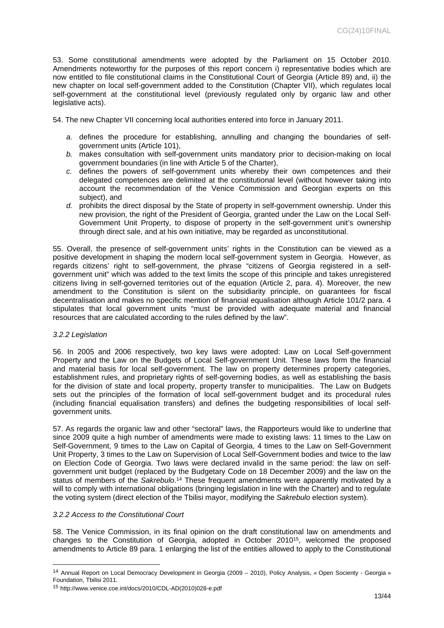53. Some constitutional amendments were adopted by the Parliament on 15 October 2010. Amendments noteworthy for the purposes of this report concern i) representative bodies which are now entitled to file constitutional claims in the Constitutional Court of Georgia (Article 89) and, ii) the new chapter on local self-government added to the Constitution (Chapter VII), which regulates local self-government at the constitutional level (previously regulated only by organic law and other legislative acts).

54. The new Chapter VII concerning local authorities entered into force in January 2011.

- *a.* defines the procedure for establishing, annulling and changing the boundaries of selfgovernment units (Article 101),
- *b.* makes consultation with self-government units mandatory prior to decision-making on local government boundaries (in line with Article 5 of the Charter),
- *c.* defines the powers of self-government units whereby their own competences and their delegated competences are delimited at the constitutional level (without however taking into account the recommendation of the Venice Commission and Georgian experts on this subject), and
- *d.* prohibits the direct disposal by the State of property in self-government ownership. Under this new provision, the right of the President of Georgia, granted under the Law on the Local Self-Government Unit Property, to dispose of property in the self-government unit's ownership through direct sale, and at his own initiative, may be regarded as unconstitutional.

55. Overall, the presence of self-government units' rights in the Constitution can be viewed as a positive development in shaping the modern local self-government system in Georgia. However, as regards citizens' right to self-government, the phrase "citizens of Georgia registered in a selfgovernment unit" which was added to the text limits the scope of this principle and takes unregistered citizens living in self-governed territories out of the equation (Article 2, para. 4). Moreover, the new amendment to the Constitution is silent on the subsidiarity principle, on guarantees for fiscal decentralisation and makes no specific mention of financial equalisation although Article 101/2 para. 4 stipulates that local government units "must be provided with adequate material and financial resources that are calculated according to the rules defined by the law".

# <span id="page-12-0"></span>*3.2.2 Legislation*

56. In 2005 and 2006 respectively, two key laws were adopted: Law on Local Self-government Property and the Law on the Budgets of Local Self-government Unit. These laws form the financial and material basis for local self-government. The law on property determines property categories, establishment rules, and proprietary rights of self-governing bodies, as well as establishing the basis for the division of state and local property, property transfer to municipalities. The Law on Budgets sets out the principles of the formation of local self-government budget and its procedural rules (including financial equalisation transfers) and defines the budgeting responsibilities of local selfgovernment units.

57. As regards the organic law and other "sectoral" laws, the Rapporteurs would like to underline that since 2009 quite a high number of amendments were made to existing laws: 11 times to the Law on Self-Government, 9 times to the Law on Capital of Georgia, 4 times to the Law on Self-Government Unit Property, 3 times to the Law on Supervision of Local Self-Government bodies and twice to the law on Election Code of Georgia. Two laws were declared invalid in the same period: the law on selfgovernment unit budget (replaced by the Budgetary Code on 18 December 2009) and the law on the status of members of the *Sakrebulo*. <sup>14</sup> These frequent amendments were apparently motivated by a will to comply with international obligations (bringing legislation in line with the Charter) and to regulate the voting system (direct election of the Tbilisi mayor, modifying the *Sakrebulo* election system).

# <span id="page-12-1"></span>*3.2.2 Access to the Constitutional Court*

58. The Venice Commission, in its final opinion on the draft constitutional law on amendments and changes to the Constitution of Georgia, adopted in October 2010<sup>15</sup>, welcomed the proposed amendments to Article 89 para. 1 enlarging the list of the entities allowed to apply to the Constitutional

<sup>14</sup> Annual Report on Local Democracy Development in Georgia (2009 – 2010), Policy Analysis, « Open Socienty - Georgia » Foundation, Tbilisi 2011.

<sup>15</sup> http://www.venice.coe.int/docs/2010/CDL-AD(2010)028-e.pdf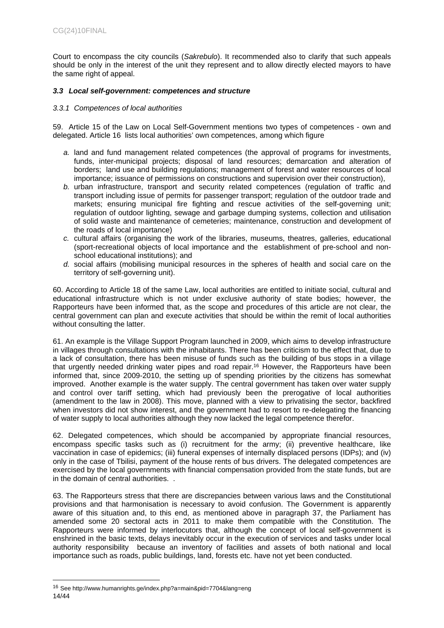Court to encompass the city councils (*Sakrebulo*). It recommended also to clarify that such appeals should be only in the interest of the unit they represent and to allow directly elected mayors to have the same right of appeal.

# <span id="page-13-0"></span>*3.3 Local self-government: competences and structure*

# <span id="page-13-1"></span>*3.3.1 Competences of local authorities*

59. Article 15 of the Law on Local Self-Government mentions two types of competences - own and delegated. Article 16 lists local authorities' own competences, among which figure

- *a.* land and fund management related competences (the approval of programs for investments, funds, inter-municipal projects; disposal of land resources; demarcation and alteration of borders; land use and building regulations; management of forest and water resources of local importance; issuance of permissions on constructions and supervision over their construction),
- *b.* urban infrastructure, transport and security related competences (regulation of traffic and transport including issue of permits for passenger transport; regulation of the outdoor trade and markets; ensuring municipal fire fighting and rescue activities of the self-governing unit; regulation of outdoor lighting, sewage and garbage dumping systems, collection and utilisation of solid waste and maintenance of cemeteries; maintenance, construction and development of the roads of local importance)
- *c.* cultural affairs (organising the work of the libraries, museums, theatres, galleries, educational (sport-recreational objects of local importance and the establishment of pre-school and nonschool educational institutions); and
- *d.* social affairs (mobilising municipal resources in the spheres of health and social care on the territory of self-governing unit).

60. According to Article 18 of the same Law, local authorities are entitled to initiate social, cultural and educational infrastructure which is not under exclusive authority of state bodies; however, the Rapporteurs have been informed that, as the scope and procedures of this article are not clear, the central government can plan and execute activities that should be within the remit of local authorities without consulting the latter.

61. An example is the Village Support Program launched in 2009, which aims to develop infrastructure in villages through consultations with the inhabitants. There has been criticism to the effect that, due to a lack of consultation, there has been misuse of funds such as the building of bus stops in a village that urgently needed drinking water pipes and road repair.<sup>16</sup> However, the Rapporteurs have been informed that, since 2009-2010, the setting up of spending priorities by the citizens has somewhat improved. Another example is the water supply. The central government has taken over water supply and control over tariff setting, which had previously been the prerogative of local authorities (amendment to the law in 2008). This move, planned with a view to privatising the sector, backfired when investors did not show interest, and the government had to resort to re-delegating the financing of water supply to local authorities although they now lacked the legal competence therefor.

62. Delegated competences, which should be accompanied by appropriate financial resources, encompass specific tasks such as (i) recruitment for the army; (ii) preventive healthcare, like vaccination in case of epidemics; (iii) funeral expenses of internally displaced persons (IDPs); and (iv) only in the case of Tbilisi, payment of the house rents of bus drivers. The delegated competences are exercised by the local governments with financial compensation provided from the state funds, but are in the domain of central authorities. .

63. The Rapporteurs stress that there are discrepancies between various laws and the Constitutional provisions and that harmonisation is necessary to avoid confusion. The Government is apparently aware of this situation and, to this end, as mentioned above in paragraph 37, the Parliament has amended some 20 sectoral acts in 2011 to make them compatible with the Constitution. The Rapporteurs were informed by interlocutors that, although the concept of local self-government is enshrined in the basic texts, delays inevitably occur in the execution of services and tasks under local authority responsibility because an inventory of facilities and assets of both national and local importance such as roads, public buildings, land, forests etc. have not yet been conducted.

<sup>14/44</sup> <sup>16</sup> See http://www.humanrights.ge/index.php?a=main&pid=7704&lang=eng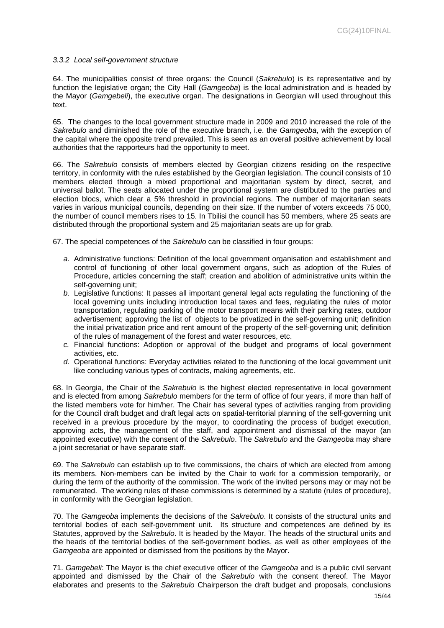### <span id="page-14-0"></span>*3.3.2 Local self-government structure*

64. The municipalities consist of three organs: the Council (*Sakrebulo*) is its representative and by function the legislative organ; the City Hall (*Gamgeoba*) is the local administration and is headed by the Mayor (*Gamgebeli*), the executive organ. The designations in Georgian will used throughout this text.

65. The changes to the local government structure made in 2009 and 2010 increased the role of the *Sakrebulo* and diminished the role of the executive branch, i.e. the *Gamgeoba*, with the exception of the capital where the opposite trend prevailed. This is seen as an overall positive achievement by local authorities that the rapporteurs had the opportunity to meet.

66. The *Sakrebulo* consists of members elected by Georgian citizens residing on the respective territory, in conformity with the rules established by the Georgian legislation. The council consists of 10 members elected through a mixed proportional and majoritarian system by direct, secret, and universal ballot. The seats allocated under the proportional system are distributed to the parties and election blocs, which clear a 5% threshold in provincial regions. The number of majoritarian seats varies in various municipal councils, depending on their size. If the number of voters exceeds 75 000, the number of council members rises to 15. In Tbilisi the council has 50 members, where 25 seats are distributed through the proportional system and 25 majoritarian seats are up for grab.

67. The special competences of the *Sakrebulo* can be classified in four groups:

- *a.* Administrative functions: Definition of the local government organisation and establishment and control of functioning of other local government organs, such as adoption of the Rules of Procedure, articles concerning the staff; creation and abolition of administrative units within the self-governing unit;
- *b.* Legislative functions: It passes all important general legal acts regulating the functioning of the local governing units including introduction local taxes and fees, regulating the rules of motor transportation, regulating parking of the motor transport means with their parking rates, outdoor advertisement; approving the list of objects to be privatized in the self-governing unit; definition the initial privatization price and rent amount of the property of the self-governing unit; definition of the rules of management of the forest and water resources, etc.
- *c.* Financial functions: Adoption or approval of the budget and programs of local government activities, etc.
- *d.* Operational functions: Everyday activities related to the functioning of the local government unit like concluding various types of contracts, making agreements, etc.

68. In Georgia, the Chair of the *Sakrebulo* is the highest elected representative in local government and is elected from among *Sakrebulo* members for the term of office of four years, if more than half of the listed members vote for him/her. The Chair has several types of activities ranging from providing for the Council draft budget and draft legal acts on spatial-territorial planning of the self-governing unit received in a previous procedure by the mayor, to coordinating the process of budget execution, approving acts, the management of the staff, and appointment and dismissal of the mayor (an appointed executive) with the consent of the *Sakrebulo*. The *Sakrebulo* and the *Gamgeoba* may share a joint secretariat or have separate staff.

69. The *Sakrebulo* can establish up to five commissions, the chairs of which are elected from among its members. Non-members can be invited by the Chair to work for a commission temporarily, or during the term of the authority of the commission. The work of the invited persons may or may not be remunerated. The working rules of these commissions is determined by a statute (rules of procedure), in conformity with the Georgian legislation.

70. The *Gamgeoba* implements the decisions of the *Sakrebulo*. It consists of the structural units and territorial bodies of each self-government unit. Its structure and competences are defined by its Statutes, approved by the *Sakrebulo*. It is headed by the Mayor. The heads of the structural units and the heads of the territorial bodies of the self-government bodies, as well as other employees of the *Gamgeoba* are appointed or dismissed from the positions by the Mayor.

71. *Gamgebeli*: The Mayor is the chief executive officer of the *Gamgeoba* and is a public civil servant appointed and dismissed by the Chair of the *Sakrebulo* with the consent thereof. The Mayor elaborates and presents to the *Sakrebulo* Chairperson the draft budget and proposals, conclusions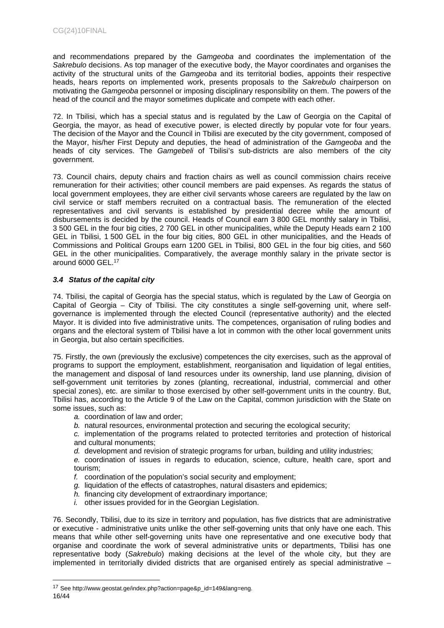and recommendations prepared by the *Gamgeoba* and coordinates the implementation of the *Sakrebulo* decisions. As top manager of the executive body, the Mayor coordinates and organises the activity of the structural units of the *Gamgeoba* and its territorial bodies, appoints their respective heads, hears reports on implemented work, presents proposals to the *Sakrebulo* chairperson on motivating the *Gamgeoba* personnel or imposing disciplinary responsibility on them. The powers of the head of the council and the mayor sometimes duplicate and compete with each other.

72. In Tbilisi, which has a special status and is regulated by the Law of Georgia on the Capital of Georgia, the mayor, as head of executive power, is elected directly by popular vote for four years. The decision of the Mayor and the Council in Tbilisi are executed by the city government, composed of the Mayor, his/her First Deputy and deputies, the head of administration of the *Gamgeoba* and the heads of city services. The *Gamgebeli* of Tbilisi's sub-districts are also members of the city government.

73. Council chairs, deputy chairs and fraction chairs as well as council commission chairs receive remuneration for their activities; other council members are paid expenses. As regards the status of local government employees, they are either civil servants whose careers are regulated by the law on civil service or staff members recruited on a contractual basis. The remuneration of the elected representatives and civil servants is established by presidential decree while the amount of disbursements is decided by the council. Heads of Council earn 3 800 GEL monthly salary in Tbilisi, 3 500 GEL in the four big cities, 2 700 GEL in other municipalities, while the Deputy Heads earn 2 100 GEL in Tbilisi, 1 500 GEL in the four big cities, 800 GEL in other municipalities, and the Heads of Commissions and Political Groups earn 1200 GEL in Tbilisi, 800 GEL in the four big cities, and 560 GEL in the other municipalities. Comparatively, the average monthly salary in the private sector is around 6000 GEL.<sup>17</sup>

# <span id="page-15-0"></span>*3.4 Status of the capital city*

74. Tbilisi, the capital of Georgia has the special status, which is regulated by the Law of Georgia on Capital of Georgia – City of Tbilisi. The city constitutes a single self-governing unit, where selfgovernance is implemented through the elected Council (representative authority) and the elected Mayor. It is divided into five administrative units. The competences, organisation of ruling bodies and organs and the electoral system of Tbilisi have a lot in common with the other local government units in Georgia, but also certain specificities.

75. Firstly, the own (previously the exclusive) competences the city exercises, such as the approval of programs to support the employment, establishment, reorganisation and liquidation of legal entities, the management and disposal of land resources under its ownership, land use planning, division of self-government unit territories by zones (planting, recreational, industrial, commercial and other special zones), etc. are similar to those exercised by other self-government units in the country. But, Tbilisi has, according to the Article 9 of the Law on the Capital, common jurisdiction with the State on some issues, such as:

*a.* coordination of law and order;

*b.* natural resources, environmental protection and securing the ecological security;

*c.* implementation of the programs related to protected territories and protection of historical and cultural monuments;

*d.* development and revision of strategic programs for urban, building and utility industries;

*e.* coordination of issues in regards to education, science, culture, health care, sport and tourism;

- *f.* coordination of the population's social security and employment;
- *g.* liquidation of the effects of catastrophes, natural disasters and epidemics;
- *h.* financing city development of extraordinary importance;
- *i.* other issues provided for in the Georgian Legislation.

76. Secondly, Tbilisi, due to its size in territory and population, has five districts that are administrative or executive - administrative units unlike the other self-governing units that only have one each. This means that while other self-governing units have one representative and one executive body that organise and coordinate the work of several administrative units or departments, Tbilisi has one representative body (*Sakrebulo*) making decisions at the level of the whole city, but they are implemented in territorially divided districts that are organised entirely as special administrative –

<sup>16/44</sup> <sup>17</sup> See http://www.geostat.ge/index.php?action=page&p\_id=149&lang=eng.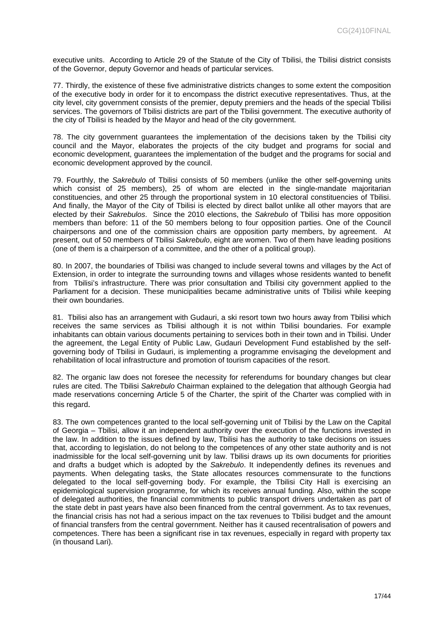executive units. According to Article 29 of the Statute of the City of Tbilisi, the Tbilisi district consists of the Governor, deputy Governor and heads of particular services.

77. Thirdly, the existence of these five administrative districts changes to some extent the composition of the executive body in order for it to encompass the district executive representatives. Thus, at the city level, city government consists of the premier, deputy premiers and the heads of the special Tbilisi services. The governors of Tbilisi districts are part of the Tbilisi government. The executive authority of the city of Tbilisi is headed by the Mayor and head of the city government.

78. The city government guarantees the implementation of the decisions taken by the Tbilisi city council and the Mayor, elaborates the projects of the city budget and programs for social and economic development, guarantees the implementation of the budget and the programs for social and economic development approved by the council.

79. Fourthly, the *Sakrebulo* of Tbilisi consists of 50 members (unlike the other self-governing units which consist of 25 members), 25 of whom are elected in the single-mandate majoritarian constituencies, and other 25 through the proportional system in 10 electoral constituencies of Tbilisi. And finally, the Mayor of the City of Tbilisi is elected by direct ballot unlike all other mayors that are elected by their *Sakrebulos*. Since the 2010 elections, the *Sakrebulo* of Tbilisi has more opposition members than before: 11 of the 50 members belong to four opposition parties. One of the Council chairpersons and one of the commission chairs are opposition party members, by agreement. At present, out of 50 members of Tbilisi *Sakrebulo*, eight are women. Two of them have leading positions (one of them is a chairperson of a committee, and the other of a political group).

80. In 2007, the boundaries of Tbilisi was changed to include several towns and villages by the Act of Extension, in order to integrate the surrounding towns and villages whose residents wanted to benefit from Tbilisi's infrastructure. There was prior consultation and Tbilisi city government applied to the Parliament for a decision. These municipalities became administrative units of Tbilisi while keeping their own boundaries.

81. Tbilisi also has an arrangement with Gudauri, a ski resort town two hours away from Tbilisi which receives the same services as Tbilisi although it is not within Tbilisi boundaries. For example inhabitants can obtain various documents pertaining to services both in their town and in Tbilisi. Under the agreement, the Legal Entity of Public Law, Gudauri Development Fund established by the selfgoverning body of Tbilisi in Gudauri, is implementing a programme envisaging the development and rehabilitation of local infrastructure and promotion of tourism capacities of the resort.

82. The organic law does not foresee the necessity for referendums for boundary changes but clear rules are cited. The Tbilisi *Sakrebulo* Chairman explained to the delegation that although Georgia had made reservations concerning Article 5 of the Charter, the spirit of the Charter was complied with in this regard.

83. The own competences granted to the local self-governing unit of Tbilisi by the Law on the Capital of Georgia – Tbilisi, allow it an independent authority over the execution of the functions invested in the law. In addition to the issues defined by law, Tbilisi has the authority to take decisions on issues that, according to legislation, do not belong to the competences of any other state authority and is not inadmissible for the local self-governing unit by law. Tbilisi draws up its own documents for priorities and drafts a budget which is adopted by the *Sakrebulo*. It independently defines its revenues and payments. When delegating tasks, the State allocates resources commensurate to the functions delegated to the local self-governing body. For example, the Tbilisi City Hall is exercising an epidemiological supervision programme, for which its receives annual funding. Also, within the scope of delegated authorities, the financial commitments to public transport drivers undertaken as part of the state debt in past years have also been financed from the central government. As to tax revenues, the financial crisis has not had a serious impact on the tax revenues to Tbilisi budget and the amount of financial transfers from the central government. Neither has it caused recentralisation of powers and competences. There has been a significant rise in tax revenues, especially in regard with property tax (in thousand Lari).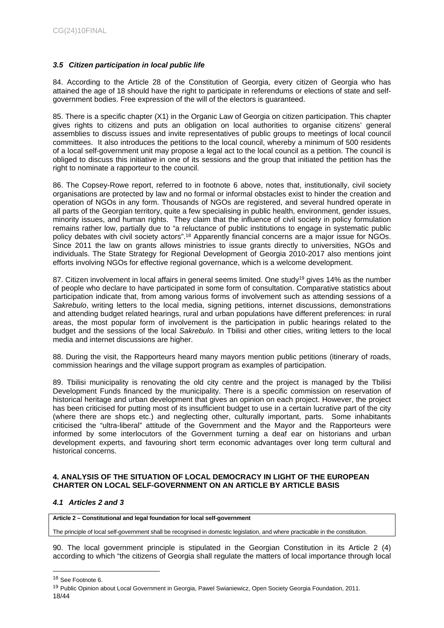# <span id="page-17-0"></span>*3.5 Citizen participation in local public life*

84. According to the Article 28 of the Constitution of Georgia, every citizen of Georgia who has attained the age of 18 should have the right to participate in referendums or elections of state and selfgovernment bodies. Free expression of the will of the electors is guaranteed.

85. There is a specific chapter (X1) in the Organic Law of Georgia on citizen participation. This chapter gives rights to citizens and puts an obligation on local authorities to organise citizens' general assemblies to discuss issues and invite representatives of public groups to meetings of local council committees. It also introduces the petitions to the local council, whereby a minimum of 500 residents of a local self-government unit may propose a legal act to the local council as a petition. The council is obliged to discuss this initiative in one of its sessions and the group that initiated the petition has the right to nominate a rapporteur to the council.

86. The Copsey-Rowe report, referred to in footnote 6 above, notes that, institutionally, civil society organisations are protected by law and no formal or informal obstacles exist to hinder the creation and operation of NGOs in any form. Thousands of NGOs are registered, and several hundred operate in all parts of the Georgian territory, quite a few specialising in public health, environment, gender issues, minority issues, and human rights. They claim that the influence of civil society in policy formulation remains rather low, partially due to "a reluctance of public institutions to engage in systematic public policy debates with civil society actors".<sup>18</sup> Apparently financial concerns are a major issue for NGOs. Since 2011 the law on grants allows ministries to issue grants directly to universities, NGOs and individuals. The State Strategy for Regional Development of Georgia 2010-2017 also mentions joint efforts involving NGOs for effective regional governance, which is a welcome development.

87. Citizen involvement in local affairs in general seems limited. One study<sup>19</sup> gives 14% as the number of people who declare to have participated in some form of consultation. Comparative statistics about participation indicate that, from among various forms of involvement such as attending sessions of a *Sakrebulo*, writing letters to the local media, signing petitions, internet discussions, demonstrations and attending budget related hearings, rural and urban populations have different preferences: in rural areas, the most popular form of involvement is the participation in public hearings related to the budget and the sessions of the local *Sakrebulo*. In Tbilisi and other cities, writing letters to the local media and internet discussions are higher.

88. During the visit, the Rapporteurs heard many mayors mention public petitions (itinerary of roads, commission hearings and the village support program as examples of participation.

89. Tbilisi municipality is renovating the old city centre and the project is managed by the Tbilisi Development Funds financed by the municipality. There is a specific commission on reservation of historical heritage and urban development that gives an opinion on each project. However, the project has been criticised for putting most of its insufficient budget to use in a certain lucrative part of the city (where there are shops etc.) and neglecting other, culturally important, parts. Some inhabitants criticised the "ultra-liberal" attitude of the Government and the Mayor and the Rapporteurs were informed by some interlocutors of the Government turning a deaf ear on historians and urban development experts, and favouring short term economic advantages over long term cultural and historical concerns.

# <span id="page-17-1"></span>**4. ANALYSIS OF THE SITUATION OF LOCAL DEMOCRACY IN LIGHT OF THE EUROPEAN CHARTER ON LOCAL SELF-GOVERNMENT ON AN ARTICLE BY ARTICLE BASIS**

# <span id="page-17-2"></span>*4.1 Articles 2 and 3*

**Article 2 – Constitutional and legal foundation for local self-government**

The principle of local self-government shall be recognised in domestic legislation, and where practicable in the constitution.

90. The local government principle is stipulated in the Georgian Constitution in its Article 2 (4) according to which "the citizens of Georgia shall regulate the matters of local importance through local

<sup>&</sup>lt;sup>18</sup> See Footnote 6.

<sup>18/44</sup> <sup>19</sup> Public Opinion about Local Government in Georgia, Pawel Swianiewicz, Open Society Georgia Foundation, 2011.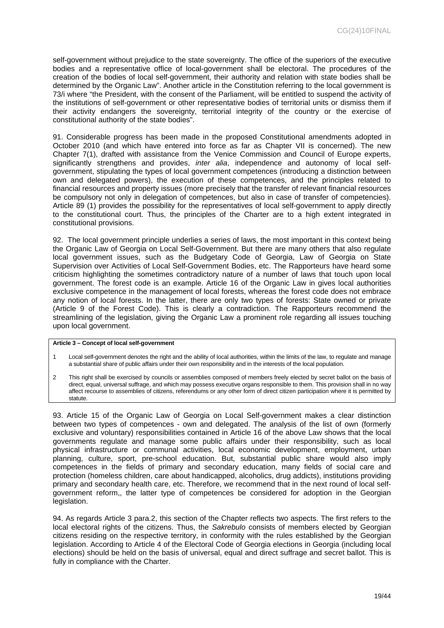self-government without prejudice to the state sovereignty. The office of the superiors of the executive bodies and a representative office of local-government shall be electoral. The procedures of the creation of the bodies of local self-government, their authority and relation with state bodies shall be determined by the Organic Law". Another article in the Constitution referring to the local government is 73/i where "the President, with the consent of the Parliament, will be entitled to suspend the activity of the institutions of self-government or other representative bodies of territorial units or dismiss them if their activity endangers the sovereignty, territorial integrity of the country or the exercise of constitutional authority of the state bodies".

91. Considerable progress has been made in the proposed Constitutional amendments adopted in October 2010 (and which have entered into force as far as Chapter VII is concerned). The new Chapter 7(1), drafted with assistance from the Venice Commission and Council of Europe experts, significantly strengthens and provides, *inter alia*, independence and autonomy of local selfgovernment, stipulating the types of local government competences (introducing a distinction between own and delegated powers), the execution of these competences, and the principles related to financial resources and property issues (more precisely that the transfer of relevant financial resources be compulsory not only in delegation of competences, but also in case of transfer of competencies). Article 89 (1) provides the possibility for the representatives of local self-government to apply directly to the constitutional court. Thus, the principles of the Charter are to a high extent integrated in constitutional provisions.

92. The local government principle underlies a series of laws, the most important in this context being the Organic Law of Georgia on Local Self-Government. But there are many others that also regulate local government issues, such as the Budgetary Code of Georgia, Law of Georgia on State Supervision over Activities of Local Self-Government Bodies, etc. The Rapporteurs have heard some criticism highlighting the sometimes contradictory nature of a number of laws that touch upon local government. The forest code is an example. Article 16 of the Organic Law in gives local authorities exclusive competence in the management of local forests, whereas the forest code does not embrace any notion of local forests. In the latter, there are only two types of forests: State owned or private (Article 9 of the Forest Code). This is clearly a contradiction. The Rapporteurs recommend the streamlining of the legislation, giving the Organic Law a prominent role regarding all issues touching upon local government.

#### **Article 3 – Concept of local self-government**

- 1 Local self-government denotes the right and the ability of local authorities, within the limits of the law, to regulate and manage a substantial share of public affairs under their own responsibility and in the interests of the local population.
- 2 This right shall be exercised by councils or assemblies composed of members freely elected by secret ballot on the basis of direct, equal, universal suffrage, and which may possess executive organs responsible to them. This provision shall in no way affect recourse to assemblies of citizens, referendums or any other form of direct citizen participation where it is permitted by statute.

93. Article 15 of the Organic Law of Georgia on Local Self-government makes a clear distinction between two types of competences - own and delegated. The analysis of the list of own (formerly exclusive and voluntary) responsibilities contained in Article 16 of the above Law shows that the local governments regulate and manage some public affairs under their responsibility, such as local physical infrastructure or communal activities, local economic development, employment, urban planning, culture, sport, pre-school education. But, substantial public share would also imply competences in the fields of primary and secondary education, many fields of social care and protection (homeless children, care about handicapped, alcoholics, drug addicts), institutions providing primary and secondary health care, etc. Therefore, we recommend that in the next round of local selfgovernment reform,, the latter type of competences be considered for adoption in the Georgian legislation.

94. As regards Article 3 para.2, this section of the Chapter reflects two aspects. The first refers to the local electoral rights of the citizens. Thus, the *Sakrebulo* consists of members elected by Georgian citizens residing on the respective territory, in conformity with the rules established by the Georgian legislation. According to Article 4 of the Electoral Code of Georgia elections in Georgia (including local elections) should be held on the basis of universal, equal and direct suffrage and secret ballot. This is fully in compliance with the Charter.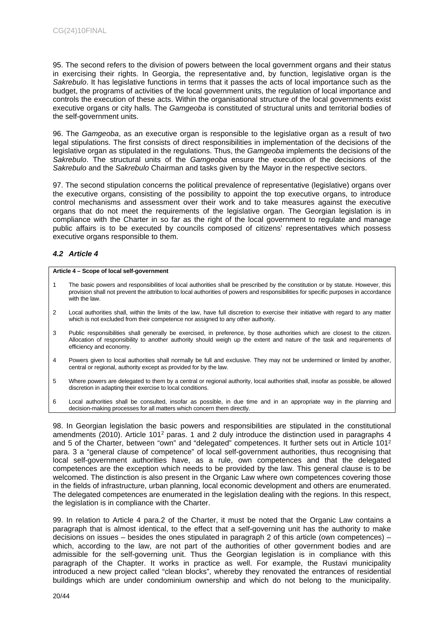95. The second refers to the division of powers between the local government organs and their status in exercising their rights. In Georgia, the representative and, by function, legislative organ is the *Sakrebulo*. It has legislative functions in terms that it passes the acts of local importance such as the budget, the programs of activities of the local government units, the regulation of local importance and controls the execution of these acts. Within the organisational structure of the local governments exist executive organs or city halls. The *Gamgeoba* is constituted of structural units and territorial bodies of the self-government units.

96. The *Gamgeoba*, as an executive organ is responsible to the legislative organ as a result of two legal stipulations. The first consists of direct responsibilities in implementation of the decisions of the legislative organ as stipulated in the regulations. Thus, the *Gamgeoba* implements the decisions of the *Sakrebulo*. The structural units of the *Gamgeoba* ensure the execution of the decisions of the *Sakrebulo* and the *Sakrebulo* Chairman and tasks given by the Mayor in the respective sectors.

97. The second stipulation concerns the political prevalence of representative (legislative) organs over the executive organs, consisting of the possibility to appoint the top executive organs, to introduce control mechanisms and assessment over their work and to take measures against the executive organs that do not meet the requirements of the legislative organ. The Georgian legislation is in compliance with the Charter in so far as the right of the local government to regulate and manage public affairs is to be executed by councils composed of citizens' representatives which possess executive organs responsible to them.

# <span id="page-19-0"></span>*4.2 Article 4*

#### **Article 4 – Scope of local self-government**

- 1 The basic powers and responsibilities of local authorities shall be prescribed by the constitution or by statute. However, this provision shall not prevent the attribution to local authorities of powers and responsibilities for specific purposes in accordance with the law.
- 2 Local authorities shall, within the limits of the law, have full discretion to exercise their initiative with regard to any matter which is not excluded from their competence nor assigned to any other authority.
- 3 Public responsibilities shall generally be exercised, in preference, by those authorities which are closest to the citizen. Allocation of responsibility to another authority should weigh up the extent and nature of the task and requirements of efficiency and economy.
- 4 Powers given to local authorities shall normally be full and exclusive. They may not be undermined or limited by another, central or regional, authority except as provided for by the law.
- 5 Where powers are delegated to them by a central or regional authority, local authorities shall, insofar as possible, be allowed discretion in adapting their exercise to local conditions.
- 6 Local authorities shall be consulted, insofar as possible, in due time and in an appropriate way in the planning and decision-making processes for all matters which concern them directly.

98. In Georgian legislation the basic powers and responsibilities are stipulated in the constitutional amendments (2010). Article 101<sup>2</sup> paras. 1 and 2 duly introduce the distinction used in paragraphs 4 and 5 of the Charter, between "own" and "delegated" competences. It further sets out in Article 101<sup>2</sup> para. 3 a "general clause of competence" of local self-government authorities, thus recognising that local self-government authorities have, as a rule, own competences and that the delegated competences are the exception which needs to be provided by the law. This general clause is to be welcomed. The distinction is also present in the Organic Law where own competences covering those in the fields of infrastructure, urban planning, local economic development and others are enumerated. The delegated competences are enumerated in the legislation dealing with the regions. In this respect, the legislation is in compliance with the Charter.

99. In relation to Article 4 para.2 of the Charter, it must be noted that the Organic Law contains a paragraph that is almost identical, to the effect that a self-governing unit has the authority to make decisions on issues – besides the ones stipulated in paragraph 2 of this article (own competences) – which, according to the law, are not part of the authorities of other government bodies and are admissible for the self-governing unit. Thus the Georgian legislation is in compliance with this paragraph of the Chapter. It works in practice as well. For example, the Rustavi municipality introduced a new project called "clean blocks", whereby they renovated the entrances of residential buildings which are under condominium ownership and which do not belong to the municipality.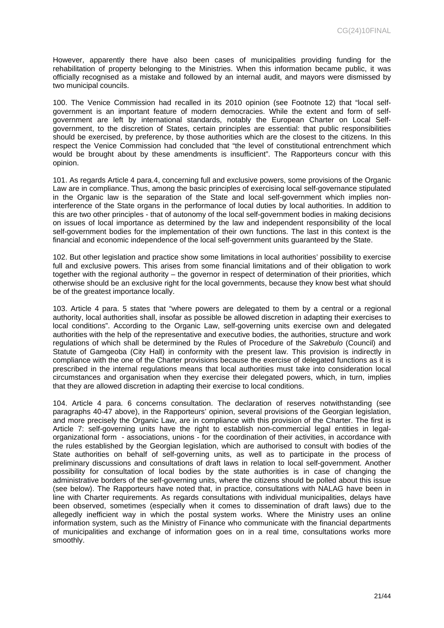However, apparently there have also been cases of municipalities providing funding for the rehabilitation of property belonging to the Ministries. When this information became public, it was officially recognised as a mistake and followed by an internal audit, and mayors were dismissed by two municipal councils.

100. The Venice Commission had recalled in its 2010 opinion (see Footnote 12) that "local selfgovernment is an important feature of modern democracies. While the extent and form of selfgovernment are left by international standards, notably the European Charter on Local Selfgovernment, to the discretion of States, certain principles are essential: that public responsibilities should be exercised, by preference, by those authorities which are the closest to the citizens. In this respect the Venice Commission had concluded that "the level of constitutional entrenchment which would be brought about by these amendments is insufficient". The Rapporteurs concur with this opinion.

101. As regards Article 4 para.4, concerning full and exclusive powers, some provisions of the Organic Law are in compliance. Thus, among the basic principles of exercising local self-governance stipulated in the Organic law is the separation of the State and local self-government which implies noninterference of the State organs in the performance of local duties by local authorities. In addition to this are two other principles - that of autonomy of the local self-government bodies in making decisions on issues of local importance as determined by the law and independent responsibility of the local self-government bodies for the implementation of their own functions. The last in this context is the financial and economic independence of the local self-government units guaranteed by the State.

102. But other legislation and practice show some limitations in local authorities' possibility to exercise full and exclusive powers. This arises from some financial limitations and of their obligation to work together with the regional authority – the governor in respect of determination of their priorities, which otherwise should be an exclusive right for the local governments, because they know best what should be of the greatest importance locally.

103. Article 4 para. 5 states that "where powers are delegated to them by a central or a regional authority, local authorities shall, insofar as possible be allowed discretion in adapting their exercises to local conditions". According to the Organic Law, self-governing units exercise own and delegated authorities with the help of the representative and executive bodies, the authorities, structure and work regulations of which shall be determined by the Rules of Procedure of the *Sakrebulo* (Council) and Statute of Gamgeoba (City Hall) in conformity with the present law. This provision is indirectly in compliance with the one of the Charter provisions because the exercise of delegated functions as it is prescribed in the internal regulations means that local authorities must take into consideration local circumstances and organisation when they exercise their delegated powers, which, in turn, implies that they are allowed discretion in adapting their exercise to local conditions.

104. Article 4 para. 6 concerns consultation. The declaration of reserves notwithstanding (see paragraphs 40-47 above), in the Rapporteurs' opinion, several provisions of the Georgian legislation, and more precisely the Organic Law, are in compliance with this provision of the Charter. The first is Article 7: self-governing units have the right to establish non-commercial legal entities in legalorganizational form - associations, unions - for the coordination of their activities, in accordance with the rules established by the Georgian legislation, which are authorised to consult with bodies of the State authorities on behalf of self-governing units, as well as to participate in the process of preliminary discussions and consultations of draft laws in relation to local self-government. Another possibility for consultation of local bodies by the state authorities is in case of changing the administrative borders of the self-governing units, where the citizens should be polled about this issue (see below). The Rapporteurs have noted that, in practice, consultations with NALAG have been in line with Charter requirements. As regards consultations with individual municipalities, delays have been observed, sometimes (especially when it comes to dissemination of draft laws) due to the allegedly inefficient way in which the postal system works. Where the Ministry uses an online information system, such as the Ministry of Finance who communicate with the financial departments of municipalities and exchange of information goes on in a real time, consultations works more smoothly.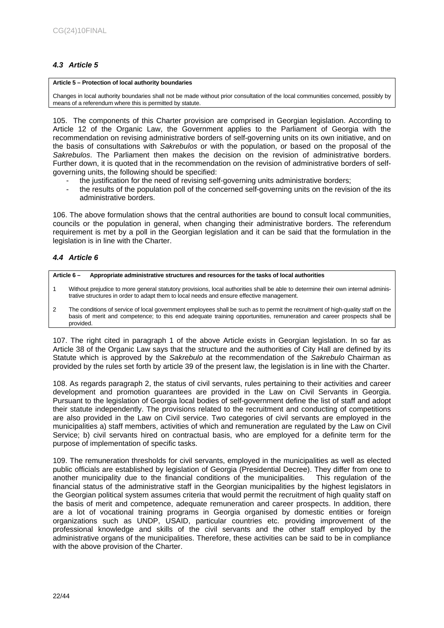# <span id="page-21-0"></span>*4.3 Article 5*

#### **Article 5 – Protection of local authority boundaries**

Changes in local authority boundaries shall not be made without prior consultation of the local communities concerned, possibly by means of a referendum where this is permitted by statute.

105. The components of this Charter provision are comprised in Georgian legislation. According to Article 12 of the Organic Law, the Government applies to the Parliament of Georgia with the recommendation on revising administrative borders of self-governing units on its own initiative, and on the basis of consultations with *Sakrebulos* or with the population, or based on the proposal of the *Sakrebulos*. The Parliament then makes the decision on the revision of administrative borders. Further down, it is quoted that in the recommendation on the revision of administrative borders of selfgoverning units, the following should be specified:

- the justification for the need of revising self-governing units administrative borders;
- the results of the population poll of the concerned self-governing units on the revision of the its administrative borders.

106. The above formulation shows that the central authorities are bound to consult local communities, councils or the population in general, when changing their administrative borders. The referendum requirement is met by a poll in the Georgian legislation and it can be said that the formulation in the legislation is in line with the Charter.

# <span id="page-21-1"></span>*4.4 Article 6*

# **Article 6 – Appropriate administrative structures and resources for the tasks of local authorities**

- 1 Without prejudice to more general statutory provisions, local authorities shall be able to determine their own internal administrative structures in order to adapt them to local needs and ensure effective management.
- 2 The conditions of service of local government employees shall be such as to permit the recruitment of high-quality staff on the basis of merit and competence; to this end adequate training opportunities, remuneration and career prospects shall be provided.

107. The right cited in paragraph 1 of the above Article exists in Georgian legislation. In so far as Article 38 of the Organic Law says that the structure and the authorities of City Hall are defined by its Statute which is approved by the *Sakrebulo* at the recommendation of the *Sakrebulo* Chairman as provided by the rules set forth by article 39 of the present law, the legislation is in line with the Charter.

108. As regards paragraph 2, the status of civil servants, rules pertaining to their activities and career development and promotion guarantees are provided in the Law on Civil Servants in Georgia. Pursuant to the legislation of Georgia local bodies of self-government define the list of staff and adopt their statute independently. The provisions related to the recruitment and conducting of competitions are also provided in the Law on Civil service. Two categories of civil servants are employed in the municipalities a) staff members, activities of which and remuneration are regulated by the Law on Civil Service; b) civil servants hired on contractual basis, who are employed for a definite term for the purpose of implementation of specific tasks.

109. The remuneration thresholds for civil servants, employed in the municipalities as well as elected public officials are established by legislation of Georgia (Presidential Decree). They differ from one to another municipality due to the financial conditions of the municipalities. This regulation of the financial status of the administrative staff in the Georgian municipalities by the highest legislators in the Georgian political system assumes criteria that would permit the recruitment of high quality staff on the basis of merit and competence, adequate remuneration and career prospects. In addition, there are a lot of vocational training programs in Georgia organised by domestic entities or foreign organizations such as UNDP, USAID, particular countries etc. providing improvement of the professional knowledge and skills of the civil servants and the other staff employed by the administrative organs of the municipalities. Therefore, these activities can be said to be in compliance with the above provision of the Charter.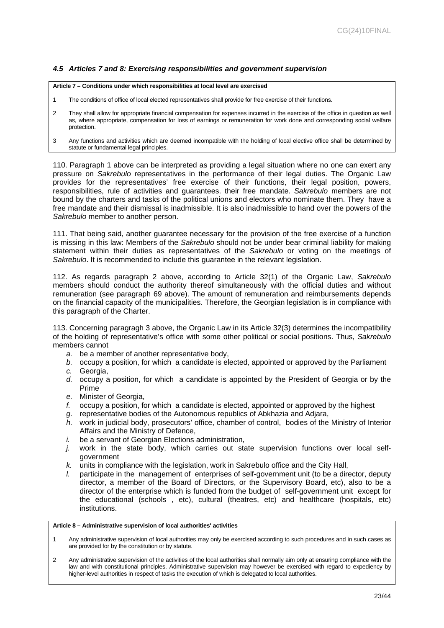# <span id="page-22-0"></span>*4.5 Articles 7 and 8: Exercising responsibilities and government supervision*

#### **Article 7 – Conditions under which responsibilities at local level are exercised**

- 1 The conditions of office of local elected representatives shall provide for free exercise of their functions.
- 2 They shall allow for appropriate financial compensation for expenses incurred in the exercise of the office in question as well as, where appropriate, compensation for loss of earnings or remuneration for work done and corresponding social welfare protection.
- 3 Any functions and activities which are deemed incompatible with the holding of local elective office shall be determined by statute or fundamental legal principles.

110. Paragraph 1 above can be interpreted as providing a legal situation where no one can exert any pressure on *Sakrebulo* representatives in the performance of their legal duties. The Organic Law provides for the representatives' free exercise of their functions, their legal position, powers, responsibilities, rule of activities and guarantees. their free mandate. *Sakrebulo* members are not bound by the charters and tasks of the political unions and electors who nominate them. They have a free mandate and their dismissal is inadmissible. It is also inadmissible to hand over the powers of the *Sakrebulo* member to another person.

111. That being said, another guarantee necessary for the provision of the free exercise of a function is missing in this law: Members of the *Sakrebulo* should not be under bear criminal liability for making statement within their duties as representatives of the *Sakrebulo* or voting on the meetings of *Sakrebulo*. It is recommended to include this guarantee in the relevant legislation.

112. As regards paragraph 2 above, according to Article 32(1) of the Organic Law, *Sakrebulo* members should conduct the authority thereof simultaneously with the official duties and without remuneration (see paragraph 69 above). The amount of remuneration and reimbursements depends on the financial capacity of the municipalities. Therefore, the Georgian legislation is in compliance with this paragraph of the Charter.

113. Concerning paragragh 3 above, the Organic Law in its Article 32(3) determines the incompatibility of the holding of representative's office with some other political or social positions. Thus, *Sakrebulo* members cannot

- *a.* be a member of another representative body,
- *b.* occupy a position, for which a candidate is elected, appointed or approved by the Parliament
- *c.* Georgia,
- *d.* occupy a position, for which a candidate is appointed by the President of Georgia or by the Prime
- *e.* Minister of Georgia,
- *f.* occupy a position, for which a candidate is elected, appointed or approved by the highest
- *g.* representative bodies of the Autonomous republics of Abkhazia and Adjara,
- *h.* work in judicial body, prosecutors' office, chamber of control, bodies of the Ministry of Interior Affairs and the Ministry of Defence,
- *i.* be a servant of Georgian Elections administration.
- *j.* work in the state body, which carries out state supervision functions over local selfgovernment
- *k.* units in compliance with the legislation, work in Sakrebulo office and the City Hall,
- *l.* participate in the management of enterprises of self-government unit (to be a director, deputy director, a member of the Board of Directors, or the Supervisory Board, etc), also to be a director of the enterprise which is funded from the budget of self-government unit except for the educational (schools , etc), cultural (theatres, etc) and healthcare (hospitals, etc) institutions.

### **Article 8 – Administrative supervision of local authorities' activities**

- 1 Any administrative supervision of local authorities may only be exercised according to such procedures and in such cases as are provided for by the constitution or by statute.
- 2 Any administrative supervision of the activities of the local authorities shall normally aim only at ensuring compliance with the law and with constitutional principles. Administrative supervision may however be exercised with regard to expediency by higher-level authorities in respect of tasks the execution of which is delegated to local authorities.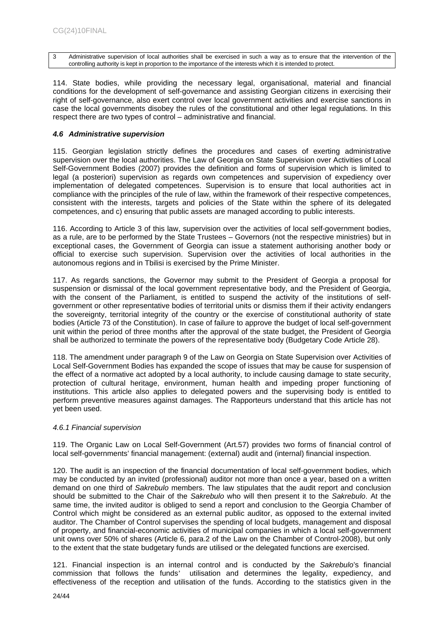3 Administrative supervision of local authorities shall be exercised in such a way as to ensure that the intervention of the controlling authority is kept in proportion to the importance of the interests which it is intended to protect.

114. State bodies, while providing the necessary legal, organisational, material and financial conditions for the development of self-governance and assisting Georgian citizens in exercising their right of self-governance, also exert control over local government activities and exercise sanctions in case the local governments disobey the rules of the constitutional and other legal regulations. In this respect there are two types of control – administrative and financial.

# <span id="page-23-0"></span>*4.6 Administrative supervision*

115. Georgian legislation strictly defines the procedures and cases of exerting administrative supervision over the local authorities. The Law of Georgia on State Supervision over Activities of Local Self-Government Bodies (2007) provides the definition and forms of supervision which is limited to legal (a posteriori) supervision as regards own competences and supervision of expediency over implementation of delegated competences. Supervision is to ensure that local authorities act in compliance with the principles of the rule of law, within the framework of their respective competences, consistent with the interests, targets and policies of the State within the sphere of its delegated competences, and c) ensuring that public assets are managed according to public interests.

116. According to Article 3 of this law, supervision over the activities of local self-government bodies, as a rule, are to be performed by the State Trustees – Governors (not the respective ministries) but in exceptional cases, the Government of Georgia can issue a statement authorising another body or official to exercise such supervision. Supervision over the activities of local authorities in the autonomous regions and in Tbilisi is exercised by the Prime Minister.

117. As regards sanctions, the Governor may submit to the President of Georgia a proposal for suspension or dismissal of the local government representative body, and the President of Georgia, with the consent of the Parliament, is entitled to suspend the activity of the institutions of selfgovernment or other representative bodies of territorial units or dismiss them if their activity endangers the sovereignty, territorial integrity of the country or the exercise of constitutional authority of state bodies (Article 73 of the Constitution). In case of failure to approve the budget of local self-government unit within the period of three months after the approval of the state budget, the President of Georgia shall be authorized to terminate the powers of the representative body (Budgetary Code Article 28).

118. The amendment under paragraph 9 of the Law on Georgia on State Supervision over Activities of Local Self-Government Bodies has expanded the scope of issues that may be cause for suspension of the effect of a normative act adopted by a local authority, to include causing damage to state security, protection of cultural heritage, environment, human health and impeding proper functioning of institutions. This article also applies to delegated powers and the supervising body is entitled to perform preventive measures against damages. The Rapporteurs understand that this article has not yet been used.

# <span id="page-23-1"></span>*4.6.1 Financial supervision*

119. The Organic Law on Local Self-Government (Art.57) provides two forms of financial control of local self-governments' financial management: (external) audit and (internal) financial inspection.

120. The audit is an inspection of the financial documentation of local self-government bodies, which may be conducted by an invited (professional) auditor not more than once a year, based on a written demand on one third of *Sakrebulo* members. The law stipulates that the audit report and conclusion should be submitted to the Chair of the *Sakrebulo* who will then present it to the *Sakrebulo*. At the same time, the invited auditor is obliged to send a report and conclusion to the Georgia Chamber of Control which might be considered as an external public auditor, as opposed to the external invited auditor. The Chamber of Control supervises the spending of local budgets, management and disposal of property, and financial-economic activities of municipal companies in which a local self-government unit owns over 50% of shares (Article 6, para.2 of the Law on the Chamber of Control-2008), but only to the extent that the state budgetary funds are utilised or the delegated functions are exercised.

121. Financial inspection is an internal control and is conducted by the *Sakrebulo*'s financial commission that follows the funds' utilisation and determines the legality, expediency, and effectiveness of the reception and utilisation of the funds. According to the statistics given in the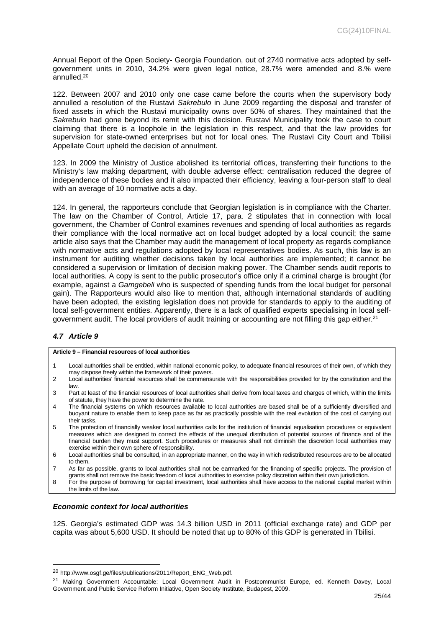Annual Report of the Open Society- Georgia Foundation, out of 2740 normative acts adopted by selfgovernment units in 2010, 34.2% were given legal notice, 28.7% were amended and 8.% were annulled.<sup>20</sup>

122. Between 2007 and 2010 only one case came before the courts when the supervisory body annulled a resolution of the Rustavi *Sakrebulo* in June 2009 regarding the disposal and transfer of fixed assets in which the Rustavi municipality owns over 50% of shares. They maintained that the *Sakrebulo* had gone beyond its remit with this decision. Rustavi Municipality took the case to court claiming that there is a loophole in the legislation in this respect, and that the law provides for supervision for state-owned enterprises but not for local ones. The Rustavi City Court and Tbilisi Appellate Court upheld the decision of annulment.

123. In 2009 the Ministry of Justice abolished its territorial offices, transferring their functions to the Ministry's law making department, with double adverse effect: centralisation reduced the degree of independence of these bodies and it also impacted their efficiency, leaving a four-person staff to deal with an average of 10 normative acts a day.

124. In general, the rapporteurs conclude that Georgian legislation is in compliance with the Charter. The law on the Chamber of Control, Article 17, para. 2 stipulates that in connection with local government, the Chamber of Control examines revenues and spending of local authorities as regards their compliance with the local normative act on local budget adopted by a local council; the same article also says that the Chamber may audit the management of local property as regards compliance with normative acts and regulations adopted by local representatives bodies. As such, this law is an instrument for auditing whether decisions taken by local authorities are implemented; it cannot be considered a supervision or limitation of decision making power. The Chamber sends audit reports to local authorities. A copy is sent to the public prosecutor's office only if a criminal charge is brought (for example, against a *Gamgebeli* who is suspected of spending funds from the local budget for personal gain). The Rapporteurs would also like to mention that, although international standards of auditing have been adopted, the existing legislation does not provide for standards to apply to the auditing of local self-government entities. Apparently, there is a lack of qualified experts specialising in local selfgovernment audit. The local providers of audit training or accounting are not filling this gap either.<sup>21</sup>

# <span id="page-24-0"></span>*4.7 Article 9*

**Article 9 – Financial resources of local authorities**

- 1 Local authorities shall be entitled, within national economic policy, to adequate financial resources of their own, of which they may dispose freely within the framework of their powers.
- 2 Local authorities' financial resources shall be commensurate with the responsibilities provided for by the constitution and the law.
- 3 Part at least of the financial resources of local authorities shall derive from local taxes and charges of which, within the limits of statute, they have the power to determine the rate.
- 4 The financial systems on which resources available to local authorities are based shall be of a sufficiently diversified and buoyant nature to enable them to keep pace as far as practically possible with the real evolution of the cost of carrying out their tasks.
- 5 The protection of financially weaker local authorities calls for the institution of financial equalisation procedures or equivalent measures which are designed to correct the effects of the unequal distribution of potential sources of finance and of the financial burden they must support. Such procedures or measures shall not diminish the discretion local authorities may exercise within their own sphere of responsibility.
- 6 Local authorities shall be consulted, in an appropriate manner, on the way in which redistributed resources are to be allocated to them.
- 7 As far as possible, grants to local authorities shall not be earmarked for the financing of specific projects. The provision of grants shall not remove the basic freedom of local authorities to exercise policy discretion within their own jurisdiction.
- 8 For the purpose of borrowing for capital investment, local authorities shall have access to the national capital market within the limits of the law.

# <span id="page-24-1"></span>*Economic context for local authorities*

125. Georgia's estimated GDP was 14.3 billion USD in 2011 (official exchange rate) and GDP per capita was about 5,600 USD. It should be noted that up to 80% of this GDP is generated in Tbilisi.

<sup>20</sup> http://www.osgf.ge/files/publications/2011/Report\_ENG\_Web.pdf.

<sup>21</sup> Making Government Accountable: Local Government Audit in Postcommunist Europe, ed. Kenneth Davey, Local Government and Public Service Reform Initiative, Open Society Institute, Budapest, 2009.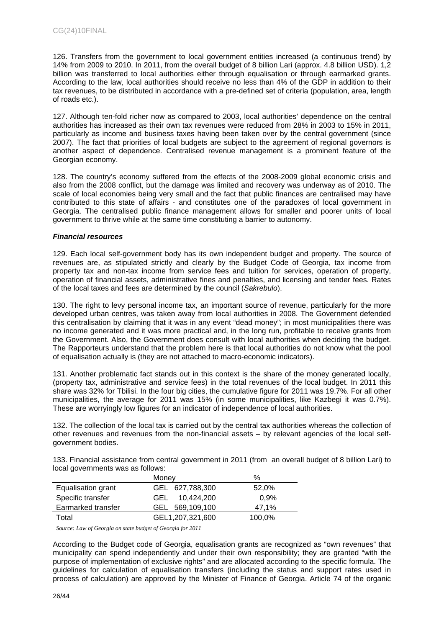126. Transfers from the government to local government entities increased (a continuous trend) by 14% from 2009 to 2010. In 2011, from the overall budget of 8 billion Lari (approx. 4.8 billion USD). 1,2 billion was transferred to local authorities either through equalisation or through earmarked grants. According to the law, local authorities should receive no less than 4% of the GDP in addition to their tax revenues, to be distributed in accordance with a pre-defined set of criteria (population, area, length of roads etc.).

127. Although ten-fold richer now as compared to 2003, local authorities' dependence on the central authorities has increased as their own tax revenues were reduced from 28% in 2003 to 15% in 2011, particularly as income and business taxes having been taken over by the central government (since 2007). The fact that priorities of local budgets are subject to the agreement of regional governors is another aspect of dependence. Centralised revenue management is a prominent feature of the Georgian economy.

128. The country's economy suffered from the effects of the 2008-2009 global economic crisis and also from the 2008 conflict, but the damage was limited and recovery was underway as of 2010. The scale of local economies being very small and the fact that public finances are centralised may have contributed to this state of affairs - and constitutes one of the paradoxes of local government in Georgia. The centralised public finance management allows for smaller and poorer units of local government to thrive while at the same time constituting a barrier to autonomy.

# <span id="page-25-0"></span>*Financial resources*

129. Each local self-government body has its own independent budget and property. The source of revenues are, as stipulated strictly and clearly by the Budget Code of Georgia, tax income from property tax and non-tax income from service fees and tuition for services, operation of property, operation of financial assets, administrative fines and penalties, and licensing and tender fees. Rates of the local taxes and fees are determined by the council (*Sakrebulo*).

130. The right to levy personal income tax, an important source of revenue, particularly for the more developed urban centres, was taken away from local authorities in 2008. The Government defended this centralisation by claiming that it was in any event "dead money"; in most municipalities there was no income generated and it was more practical and, in the long run, profitable to receive grants from the Government. Also, the Government does consult with local authorities when deciding the budget. The Rapporteurs understand that the problem here is that local authorities do not know what the pool of equalisation actually is (they are not attached to macro-economic indicators).

131. Another problematic fact stands out in this context is the share of the money generated locally, (property tax, administrative and service fees) in the total revenues of the local budget. In 2011 this share was 32% for Tbilisi. In the four big cities, the cumulative figure for 2011 was 19.7%. For all other municipalities, the average for 2011 was 15% (in some municipalities, like Kazbegi it was 0.7%). These are worryingly low figures for an indicator of independence of local authorities.

132. The collection of the local tax is carried out by the central tax authorities whereas the collection of other revenues and revenues from the non-financial assets – by relevant agencies of the local selfgovernment bodies.

133. Financial assistance from central government in 2011 (from an overall budget of 8 billion Lari) to local governments was as follows:

|                    | Monev              | $\%$   |
|--------------------|--------------------|--------|
| Equalisation grant | GEL 627,788,300    | 52,0%  |
| Specific transfer  | 10.424.200<br>GEL. | 0.9%   |
| Earmarked transfer | GEL 569,109,100    | 47.1%  |
| Total              | GEL1,207,321,600   | 100,0% |

*Source: Law of Georgia on state budget of Georgia for 2011*

According to the Budget code of Georgia, equalisation grants are recognized as "own revenues" that municipality can spend independently and under their own responsibility; they are granted "with the purpose of implementation of exclusive rights" and are allocated according to the specific formula. The guidelines for calculation of equalisation transfers (including the status and support rates used in process of calculation) are approved by the Minister of Finance of Georgia. Article 74 of the organic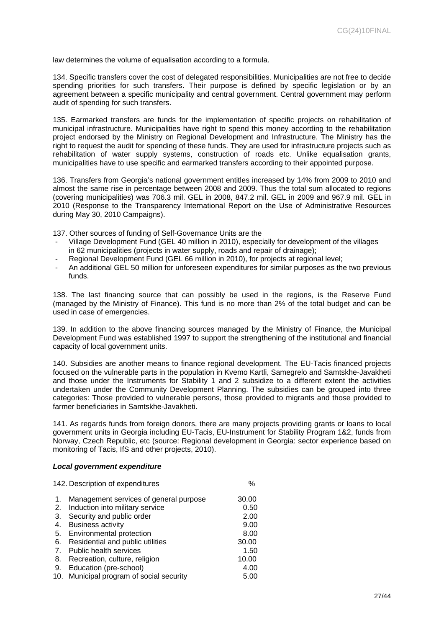law determines the volume of equalisation according to a formula.

134. Specific transfers cover the cost of delegated responsibilities. Municipalities are not free to decide spending priorities for such transfers. Their purpose is defined by specific legislation or by an agreement between a specific municipality and central government. Central government may perform audit of spending for such transfers.

135. Earmarked transfers are funds for the implementation of specific projects on rehabilitation of municipal infrastructure. Municipalities have right to spend this money according to the rehabilitation project endorsed by the Ministry on Regional Development and Infrastructure. The Ministry has the right to request the audit for spending of these funds. They are used for infrastructure projects such as rehabilitation of water supply systems, construction of roads etc. Unlike equalisation grants, municipalities have to use specific and earmarked transfers according to their appointed purpose.

136. Transfers from Georgia's national government entitles increased by 14% from 2009 to 2010 and almost the same rise in percentage between 2008 and 2009. Thus the total sum allocated to regions (covering municipalities) was 706.3 mil. GEL in 2008, 847.2 mil. GEL in 2009 and 967.9 mil. GEL in 2010 (Response to the Transparency International Report on the Use of Administrative Resources during May 30, 2010 Campaigns).

137. Other sources of funding of Self-Governance Units are the

- Village Development Fund (GEL 40 million in 2010), especially for development of the villages in 62 municipalities (projects in water supply, roads and repair of drainage);
- Regional Development Fund (GEL 66 million in 2010), for projects at regional level;
- An additional GEL 50 million for unforeseen expenditures for similar purposes as the two previous funds.

138. The last financing source that can possibly be used in the regions, is the Reserve Fund (managed by the Ministry of Finance). This fund is no more than 2% of the total budget and can be used in case of emergencies.

139. In addition to the above financing sources managed by the Ministry of Finance, the Municipal Development Fund was established 1997 to support the strengthening of the institutional and financial capacity of local government units.

140. Subsidies are another means to finance regional development. The EU-Tacis financed projects focused on the vulnerable parts in the population in Kvemo Kartli, Samegrelo and Samtskhe-Javakheti and those under the Instruments for Stability 1 and 2 subsidize to a different extent the activities undertaken under the Community Development Planning. The subsidies can be grouped into three categories: Those provided to vulnerable persons, those provided to migrants and those provided to farmer beneficiaries in Samtskhe-Javakheti.

141. As regards funds from foreign donors, there are many projects providing grants or loans to local government units in Georgia including EU-Tacis, EU-Instrument for Stability Program 1&2, funds from Norway, Czech Republic, etc (source: Regional development in Georgia: sector experience based on monitoring of Tacis, IfS and other projects, 2010).

#### <span id="page-26-0"></span>*Local government expenditure*

|     | 142. Description of expenditures       | $\%$  |
|-----|----------------------------------------|-------|
| 1.  | Management services of general purpose | 30.00 |
| 2.  | Induction into military service        | 0.50  |
| 3.  | Security and public order              | 2.00  |
| 4.  | <b>Business activity</b>               | 9.00  |
| 5.  | Environmental protection               | 8.00  |
| 6.  | Residential and public utilities       | 30.00 |
| 7.  | <b>Public health services</b>          | 1.50  |
| 8.  | Recreation, culture, religion          | 10.00 |
| 9.  | Education (pre-school)                 | 4.00  |
| 10. | Municipal program of social security   | 5.00  |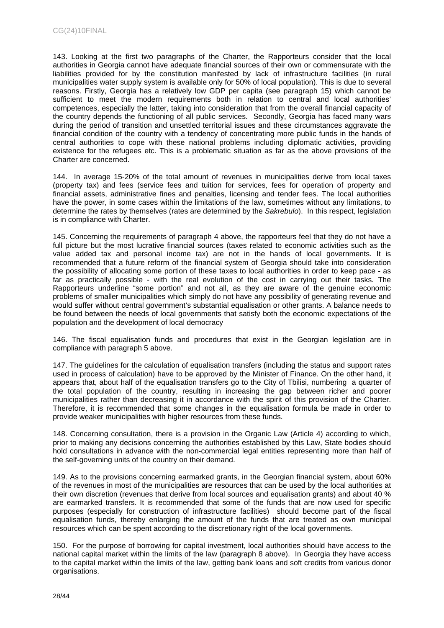143. Looking at the first two paragraphs of the Charter, the Rapporteurs consider that the local authorities in Georgia cannot have adequate financial sources of their own or commensurate with the liabilities provided for by the constitution manifested by lack of infrastructure facilities (in rural municipalities water supply system is available only for 50% of local population). This is due to several reasons. Firstly, Georgia has a relatively low GDP per capita (see paragraph 15) which cannot be sufficient to meet the modern requirements both in relation to central and local authorities' competences, especially the latter, taking into consideration that from the overall financial capacity of the country depends the functioning of all public services. Secondly, Georgia has faced many wars during the period of transition and unsettled territorial issues and these circumstances aggravate the financial condition of the country with a tendency of concentrating more public funds in the hands of central authorities to cope with these national problems including diplomatic activities, providing existence for the refugees etc. This is a problematic situation as far as the above provisions of the Charter are concerned.

144. In average 15-20% of the total amount of revenues in municipalities derive from local taxes (property tax) and fees (service fees and tuition for services, fees for operation of property and financial assets, administrative fines and penalties, licensing and tender fees. The local authorities have the power, in some cases within the limitations of the law, sometimes without any limitations, to determine the rates by themselves (rates are determined by the *Sakrebulo*). In this respect, legislation is in compliance with Charter.

145. Concerning the requirements of paragraph 4 above, the rapporteurs feel that they do not have a full picture but the most lucrative financial sources (taxes related to economic activities such as the value added tax and personal income tax) are not in the hands of local governments. It is recommended that a future reform of the financial system of Georgia should take into consideration the possibility of allocating some portion of these taxes to local authorities in order to keep pace - as far as practically possible - with the real evolution of the cost in carrying out their tasks. The Rapporteurs underline "some portion" and not all, as they are aware of the genuine economic problems of smaller municipalities which simply do not have any possibility of generating revenue and would suffer without central government's substantial equalisation or other grants. A balance needs to be found between the needs of local governments that satisfy both the economic expectations of the population and the development of local democracy

146. The fiscal equalisation funds and procedures that exist in the Georgian legislation are in compliance with paragraph 5 above.

147. The guidelines for the calculation of equalisation transfers (including the status and support rates used in process of calculation) have to be approved by the Minister of Finance. On the other hand, it appears that, about half of the equalisation transfers go to the City of Tbilisi, numbering a quarter of the total population of the country, resulting in increasing the gap between richer and poorer municipalities rather than decreasing it in accordance with the spirit of this provision of the Charter. Therefore, it is recommended that some changes in the equalisation formula be made in order to provide weaker municipalities with higher resources from these funds.

148. Concerning consultation, there is a provision in the Organic Law (Article 4) according to which, prior to making any decisions concerning the authorities established by this Law, State bodies should hold consultations in advance with the non-commercial legal entities representing more than half of the self-governing units of the country on their demand.

149. As to the provisions concerning earmarked grants, in the Georgian financial system, about 60% of the revenues in most of the municipalities are resources that can be used by the local authorities at their own discretion (revenues that derive from local sources and equalisation grants) and about 40 % are earmarked transfers. It is recommended that some of the funds that are now used for specific purposes (especially for construction of infrastructure facilities) should become part of the fiscal equalisation funds, thereby enlarging the amount of the funds that are treated as own municipal resources which can be spent according to the discretionary right of the local governments.

150. For the purpose of borrowing for capital investment, local authorities should have access to the national capital market within the limits of the law (paragraph 8 above). In Georgia they have access to the capital market within the limits of the law, getting bank loans and soft credits from various donor organisations.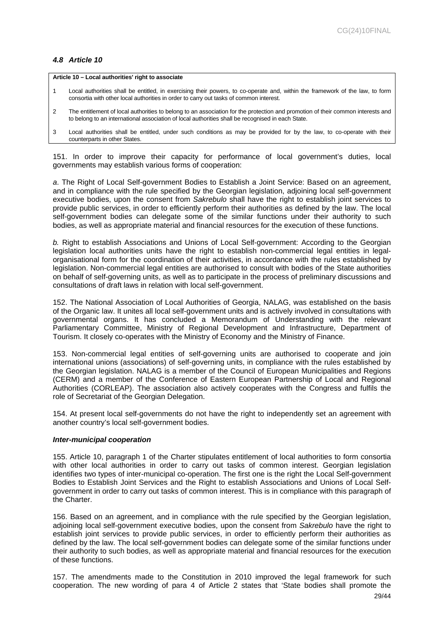# <span id="page-28-0"></span>*4.8 Article 10*

#### **Article 10 – Local authorities' right to associate**

- 1 Local authorities shall be entitled, in exercising their powers, to co-operate and, within the framework of the law, to form consortia with other local authorities in order to carry out tasks of common interest.
- 2 The entitlement of local authorities to belong to an association for the protection and promotion of their common interests and to belong to an international association of local authorities shall be recognised in each State.

3 Local authorities shall be entitled, under such conditions as may be provided for by the law, to co-operate with their counterparts in other States.

151. In order to improve their capacity for performance of local government's duties, local governments may establish various forms of cooperation:

*a*. The Right of Local Self-government Bodies to Establish a Joint Service: Based on an agreement, and in compliance with the rule specified by the Georgian legislation, adjoining local self-government executive bodies, upon the consent from *Sakrebulo* shall have the right to establish joint services to provide public services, in order to efficiently perform their authorities as defined by the law. The local self-government bodies can delegate some of the similar functions under their authority to such bodies, as well as appropriate material and financial resources for the execution of these functions.

*b.* Right to establish Associations and Unions of Local Self-government: According to the Georgian legislation local authorities units have the right to establish non-commercial legal entities in legalorganisational form for the coordination of their activities, in accordance with the rules established by legislation. Non-commercial legal entities are authorised to consult with bodies of the State authorities on behalf of self-governing units, as well as to participate in the process of preliminary discussions and consultations of draft laws in relation with local self-government.

152. The National Association of Local Authorities of Georgia, NALAG, was established on the basis of the Organic law. It unites all local self-government units and is actively involved in consultations with governmental organs. It has concluded a Memorandum of Understanding with the relevant Parliamentary Committee, Ministry of Regional Development and Infrastructure, Department of Tourism. It closely co-operates with the Ministry of Economy and the Ministry of Finance.

153. Non-commercial legal entities of self-governing units are authorised to cooperate and join international unions (associations) of self-governing units, in compliance with the rules established by the Georgian legislation. NALAG is a member of the Council of European Municipalities and Regions (CERM) and a member of the Conference of Eastern European Partnership of Local and Regional Authorities (CORLEAP). The association also actively cooperates with the Congress and fulfils the role of Secretariat of the Georgian Delegation.

154. At present local self-governments do not have the right to independently set an agreement with another country's local self-government bodies.

#### <span id="page-28-1"></span>*Inter-municipal cooperation*

155. Article 10, paragraph 1 of the Charter stipulates entitlement of local authorities to form consortia with other local authorities in order to carry out tasks of common interest. Georgian legislation identifies two types of inter-municipal co-operation. The first one is the right the Local Self-government Bodies to Establish Joint Services and the Right to establish Associations and Unions of Local Selfgovernment in order to carry out tasks of common interest. This is in compliance with this paragraph of the Charter.

156. Based on an agreement, and in compliance with the rule specified by the Georgian legislation, adjoining local self-government executive bodies, upon the consent from *Sakrebulo* have the right to establish joint services to provide public services, in order to efficiently perform their authorities as defined by the law. The local self-government bodies can delegate some of the similar functions under their authority to such bodies, as well as appropriate material and financial resources for the execution of these functions.

157. The amendments made to the Constitution in 2010 improved the legal framework for such cooperation. The new wording of para 4 of Article 2 states that 'State bodies shall promote the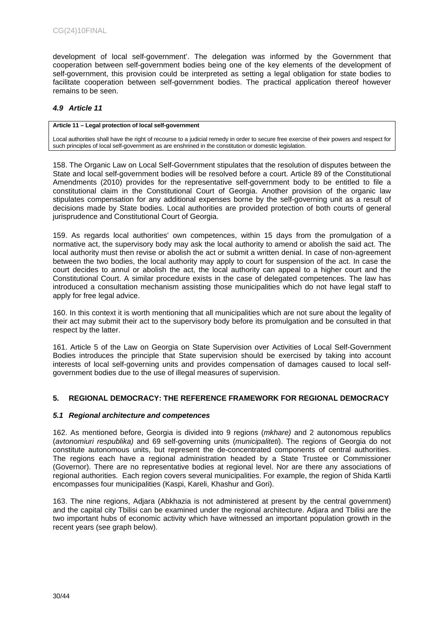development of local self-government'. The delegation was informed by the Government that cooperation between self-government bodies being one of the key elements of the development of self-government, this provision could be interpreted as setting a legal obligation for state bodies to facilitate cooperation between self-government bodies. The practical application thereof however remains to be seen.

# <span id="page-29-0"></span>*4.9 Article 11*

#### **Article 11 – Legal protection of local self-government**

Local authorities shall have the right of recourse to a judicial remedy in order to secure free exercise of their powers and respect for such principles of local self-government as are enshrined in the constitution or domestic legislation.

158. The Organic Law on Local Self-Government stipulates that the resolution of disputes between the State and local self-government bodies will be resolved before a court. Article 89 of the Constitutional Amendments (2010) provides for the representative self-government body to be entitled to file a constitutional claim in the Constitutional Court of Georgia. Another provision of the organic law stipulates compensation for any additional expenses borne by the self-governing unit as a result of decisions made by State bodies. Local authorities are provided protection of both courts of general jurisprudence and Constitutional Court of Georgia.

159. As regards local authorities' own competences, within 15 days from the promulgation of a normative act, the supervisory body may ask the local authority to amend or abolish the said act. The local authority must then revise or abolish the act or submit a written denial. In case of non-agreement between the two bodies, the local authority may apply to court for suspension of the act. In case the court decides to annul or abolish the act, the local authority can appeal to a higher court and the Constitutional Court. A similar procedure exists in the case of delegated competences. The law has introduced a consultation mechanism assisting those municipalities which do not have legal staff to apply for free legal advice.

160. In this context it is worth mentioning that all municipalities which are not sure about the legality of their act may submit their act to the supervisory body before its promulgation and be consulted in that respect by the latter.

161. Article 5 of the Law on Georgia on State Supervision over Activities of Local Self-Government Bodies introduces the principle that State supervision should be exercised by taking into account interests of local self-governing units and provides compensation of damages caused to local selfgovernment bodies due to the use of illegal measures of supervision.

# <span id="page-29-1"></span>**5. REGIONAL DEMOCRACY: THE REFERENCE FRAMEWORK FOR REGIONAL DEMOCRACY**

# <span id="page-29-2"></span>*5.1 Regional architecture and competences*

162. As mentioned before, Georgia is divided into 9 regions (*mkhare)* and 2 autonomous republics (*avtonomiuri respublika)* and 69 self-governing units (*municipaliteti*). The regions of Georgia do not constitute autonomous units, but represent the de-concentrated components of central authorities. The regions each have a regional administration headed by a State Trustee or Commissioner (Governor). There are no representative bodies at regional level. Nor are there any associations of regional authorities. Each region covers several municipalities. For example, the region of Shida Kartli encompasses four municipalities (Kaspi, Kareli, Khashur and Gori).

163. The nine regions, Adjara (Abkhazia is not administered at present by the central government) and the capital city Tbilisi can be examined under the regional architecture. Adjara and Tbilisi are the two important hubs of economic activity which have witnessed an important population growth in the recent years (see graph below).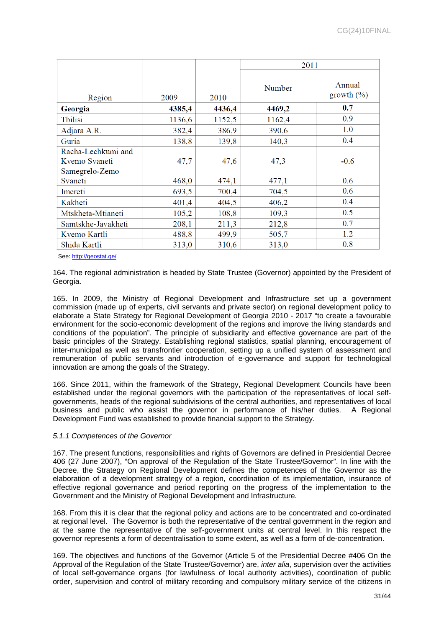|                    |        |        | 2011   |                          |
|--------------------|--------|--------|--------|--------------------------|
| Region             | 2009   | 2010   | Number | Annual<br>growth $(\% )$ |
| Georgia            | 4385,4 | 4436,4 | 4469,2 | 0.7                      |
| <b>T</b> bilisi    | 1136,6 | 1152,5 | 1162,4 | 0.9                      |
| Adjara A.R.        | 382,4  | 386,9  | 390,6  | 1.0                      |
| Guria              | 138,8  | 139,8  | 140,3  | 0.4                      |
| Racha-Lechkumi and |        |        |        |                          |
| Kvemo Svaneti      | 47,7   | 47,6   | 47,3   | $-0.6$                   |
| Samegrelo-Zemo     |        |        |        |                          |
| Svaneti            | 468,0  | 474,1  | 477,1  | 0.6                      |
| Imereti            | 693,5  | 700,4  | 704,5  | 0.6                      |
| Kakheti            | 401,4  | 404,5  | 406,2  | 0.4                      |
| Mtskheta-Mtianeti  | 105,2  | 108,8  | 109,3  | 0.5                      |
| Samtskhe-Javakheti | 208,1  | 211,3  | 212,8  | 0.7                      |
| Kvemo Kartli       | 488,8  | 499,9  | 505,7  | 1.2                      |
| Shida Kartli       | 313,0  | 310,6  | 313,0  | 0.8                      |

See: <http://geostat.ge/>

164. The regional administration is headed by State Trustee (Governor) appointed by the President of Georgia.

165. In 2009, the Ministry of Regional Development and Infrastructure set up a government commission (made up of experts, civil servants and private sector) on regional development policy to elaborate a State Strategy for Regional Development of Georgia 2010 - 2017 "to create a favourable environment for the socio-economic development of the regions and improve the living standards and conditions of the population". The principle of subsidiarity and effective governance are part of the basic principles of the Strategy. Establishing regional statistics, spatial planning, encouragement of inter-municipal as well as transfrontier cooperation, setting up a unified system of assessment and remuneration of public servants and introduction of e-governance and support for technological innovation are among the goals of the Strategy.

166. Since 2011, within the framework of the Strategy, Regional Development Councils have been established under the regional governors with the participation of the representatives of local selfgovernments, heads of the regional subdivisions of the central authorities, and representatives of local business and public who assist the governor in performance of his/her duties. A Regional Development Fund was established to provide financial support to the Strategy.

# <span id="page-30-0"></span>*5.1.1 Competences of the Governor*

167. The present functions, responsibilities and rights of Governors are defined in Presidential Decree 406 (27 June 2007), "On approval of the Regulation of the State Trustee/Governor". In line with the Decree, the Strategy on Regional Development defines the competences of the Governor as the elaboration of a development strategy of a region, coordination of its implementation, insurance of effective regional governance and period reporting on the progress of the implementation to the Government and the Ministry of Regional Development and Infrastructure.

168. From this it is clear that the regional policy and actions are to be concentrated and co-ordinated at regional level. The Governor is both the representative of the central government in the region and at the same the representative of the self-government units at central level. In this respect the governor represents a form of decentralisation to some extent, as well as a form of de-concentration.

169. The objectives and functions of the Governor (Article 5 of the Presidential Decree #406 On the Approval of the Regulation of the State Trustee/Governor) are, *inter alia*, supervision over the activities of local self-governance organs (for lawfulness of local authority activities), coordination of public order, supervision and control of military recording and compulsory military service of the citizens in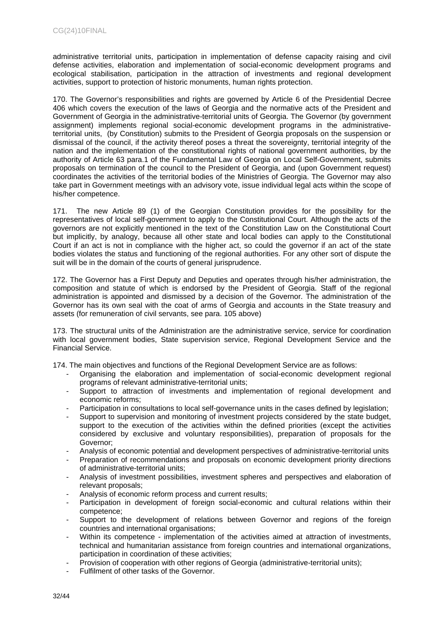administrative territorial units, participation in implementation of defense capacity raising and civil defense activities, elaboration and implementation of social-economic development programs and ecological stabilisation, participation in the attraction of investments and regional development activities, support to protection of historic monuments, human rights protection.

170. The Governor's responsibilities and rights are governed by Article 6 of the Presidential Decree 406 which covers the execution of the laws of Georgia and the normative acts of the President and Government of Georgia in the administrative-territorial units of Georgia. The Governor (by government assignment) implements regional social-economic development programs in the administrativeterritorial units, (by Constitution) submits to the President of Georgia proposals on the suspension or dismissal of the council, if the activity thereof poses a threat the sovereignty, territorial integrity of the nation and the implementation of the constitutional rights of national government authorities, by the authority of Article 63 para.1 of the Fundamental Law of Georgia on Local Self-Government, submits proposals on termination of the council to the President of Georgia, and (upon Government request) coordinates the activities of the territorial bodies of the Ministries of Georgia. The Governor may also take part in Government meetings with an advisory vote, issue individual legal acts within the scope of his/her competence.

171. The new Article 89 (1) of the Georgian Constitution provides for the possibility for the representatives of local self-government to apply to the Constitutional Court. Although the acts of the governors are not explicitly mentioned in the text of the Constitution Law on the Constitutional Court but implicitly, by analogy, because all other state and local bodies can apply to the Constitutional Court if an act is not in compliance with the higher act, so could the governor if an act of the state bodies violates the status and functioning of the regional authorities. For any other sort of dispute the suit will be in the domain of the courts of general jurisprudence.

172. The Governor has a First Deputy and Deputies and operates through his/her administration, the composition and statute of which is endorsed by the President of Georgia. Staff of the regional administration is appointed and dismissed by a decision of the Governor. The administration of the Governor has its own seal with the coat of arms of Georgia and accounts in the State treasury and assets (for remuneration of civil servants, see para. 105 above)

173. The structural units of the Administration are the administrative service, service for coordination with local government bodies, State supervision service, Regional Development Service and the Financial Service.

174. The main objectives and functions of the Regional Development Service are as follows:

- Organising the elaboration and implementation of social-economic development regional programs of relevant administrative-territorial units;
- Support to attraction of investments and implementation of regional development and economic reforms;
- Participation in consultations to local self-governance units in the cases defined by legislation;
- Support to supervision and monitoring of investment projects considered by the state budget, support to the execution of the activities within the defined priorities (except the activities considered by exclusive and voluntary responsibilities), preparation of proposals for the Governor;
- Analysis of economic potential and development perspectives of administrative-territorial units
- Preparation of recommendations and proposals on economic development priority directions of administrative-territorial units;
- Analysis of investment possibilities, investment spheres and perspectives and elaboration of relevant proposals;
- Analysis of economic reform process and current results;
- Participation in development of foreign social-economic and cultural relations within their competence;
- Support to the development of relations between Governor and regions of the foreign countries and international organisations;
- Within its competence implementation of the activities aimed at attraction of investments, technical and humanitarian assistance from foreign countries and international organizations, participation in coordination of these activities;
- Provision of cooperation with other regions of Georgia (administrative-territorial units);
- Fulfilment of other tasks of the Governor.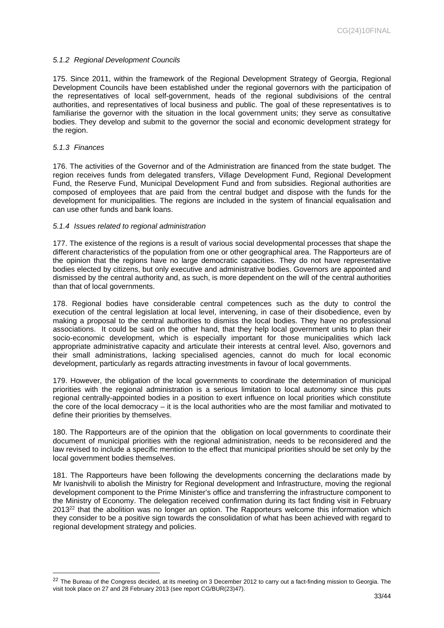# <span id="page-32-0"></span>*5.1.2 Regional Development Councils*

175. Since 2011, within the framework of the Regional Development Strategy of Georgia, Regional Development Councils have been established under the regional governors with the participation of the representatives of local self-government, heads of the regional subdivisions of the central authorities, and representatives of local business and public. The goal of these representatives is to familiarise the governor with the situation in the local government units; they serve as consultative bodies. They develop and submit to the governor the social and economic development strategy for the region.

### <span id="page-32-1"></span>*5.1.3 Finances*

176. The activities of the Governor and of the Administration are financed from the state budget. The region receives funds from delegated transfers, Village Development Fund, Regional Development Fund, the Reserve Fund, Municipal Development Fund and from subsidies. Regional authorities are composed of employees that are paid from the central budget and dispose with the funds for the development for municipalities. The regions are included in the system of financial equalisation and can use other funds and bank loans.

# <span id="page-32-2"></span>*5.1.4 Issues related to regional administration*

177. The existence of the regions is a result of various social developmental processes that shape the different characteristics of the population from one or other geographical area. The Rapporteurs are of the opinion that the regions have no large democratic capacities. They do not have representative bodies elected by citizens, but only executive and administrative bodies. Governors are appointed and dismissed by the central authority and, as such, is more dependent on the will of the central authorities than that of local governments.

178. Regional bodies have considerable central competences such as the duty to control the execution of the central legislation at local level, intervening, in case of their disobedience, even by making a proposal to the central authorities to dismiss the local bodies. They have no professional associations. It could be said on the other hand, that they help local government units to plan their socio-economic development, which is especially important for those municipalities which lack appropriate administrative capacity and articulate their interests at central level. Also, governors and their small administrations, lacking specialised agencies, cannot do much for local economic development, particularly as regards attracting investments in favour of local governments.

179. However, the obligation of the local governments to coordinate the determination of municipal priorities with the regional administration is a serious limitation to local autonomy since this puts regional centrally-appointed bodies in a position to exert influence on local priorities which constitute the core of the local democracy – it is the local authorities who are the most familiar and motivated to define their priorities by themselves.

180. The Rapporteurs are of the opinion that the obligation on local governments to coordinate their document of municipal priorities with the regional administration, needs to be reconsidered and the law revised to include a specific mention to the effect that municipal priorities should be set only by the local government bodies themselves.

181. The Rapporteurs have been following the developments concerning the declarations made by Mr Ivanishvili to abolish the Ministry for Regional development and Infrastructure, moving the regional development component to the Prime Minister's office and transferring the infrastructure component to the Ministry of Economy. The delegation received confirmation during its fact finding visit in February 2013<sup>22</sup> that the abolition was no longer an option. The Rapporteurs welcome this information which they consider to be a positive sign towards the consolidation of what has been achieved with regard to regional development strategy and policies.

<sup>&</sup>lt;sup>22</sup> The Bureau of the Congress decided, at its meeting on 3 December 2012 to carry out a fact-finding mission to Georgia. The visit took place on 27 and 28 February 2013 (see report CG/BUR(23)47).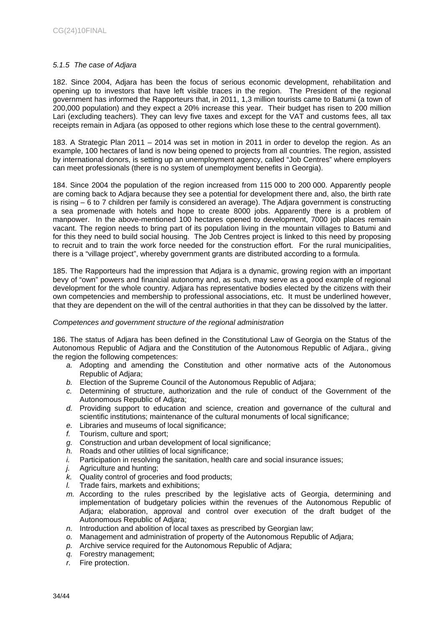# <span id="page-33-0"></span>*5.1.5 The case of Adjara*

182. Since 2004, Adjara has been the focus of serious economic development, rehabilitation and opening up to investors that have left visible traces in the region. The President of the regional government has informed the Rapporteurs that, in 2011, 1,3 million tourists came to Batumi (a town of 200,000 population) and they expect a 20% increase this year. Their budget has risen to 200 million Lari (excluding teachers). They can levy five taxes and except for the VAT and customs fees, all tax receipts remain in Adjara (as opposed to other regions which lose these to the central government).

183. A Strategic Plan 2011 – 2014 was set in motion in 2011 in order to develop the region. As an example, 100 hectares of land is now being opened to projects from all countries. The region, assisted by international donors, is setting up an unemployment agency, called "Job Centres" where employers can meet professionals (there is no system of unemployment benefits in Georgia).

184. Since 2004 the population of the region increased from 115 000 to 200 000. Apparently people are coming back to Adjara because they see a potential for development there and, also, the birth rate is rising – 6 to 7 children per family is considered an average). The Adjara government is constructing a sea promenade with hotels and hope to create 8000 jobs. Apparently there is a problem of manpower. In the above-mentioned 100 hectares opened to development, 7000 job places remain vacant. The region needs to bring part of its population living in the mountain villages to Batumi and for this they need to build social housing. The Job Centres project is linked to this need by proposing to recruit and to train the work force needed for the construction effort. For the rural municipalities, there is a "village project", whereby government grants are distributed according to a formula.

185. The Rapporteurs had the impression that Adjara is a dynamic, growing region with an important bevy of "own" powers and financial autonomy and, as such, may serve as a good example of regional development for the whole country. Adjara has representative bodies elected by the citizens with their own competencies and membership to professional associations, etc. It must be underlined however, that they are dependent on the will of the central authorities in that they can be dissolved by the latter.

# <span id="page-33-1"></span>*Competences and government structure of the regional administration*

186. The status of Adjara has been defined in the Constitutional Law of Georgia on the Status of the Autonomous Republic of Adjara and the Constitution of the Autonomous Republic of Adjara., giving the region the following competences:

- *a.* Adopting and amending the Constitution and other normative acts of the Autonomous Republic of Adjara;
- *b.* Election of the Supreme Council of the Autonomous Republic of Adjara;
- *c.* Determining of structure, authorization and the rule of conduct of the Government of the Autonomous Republic of Adjara;
- *d.* Providing support to education and science, creation and governance of the cultural and scientific institutions; maintenance of the cultural monuments of local significance;
- *e.* Libraries and museums of local significance;
- *f.* Tourism, culture and sport;
- *g.* Construction and urban development of local significance;
- *h.* Roads and other utilities of local significance;
- *i.* Participation in resolving the sanitation, health care and social insurance issues;
- *j.* Agriculture and hunting;
- *k.* Quality control of groceries and food products;
- *l.* Trade fairs, markets and exhibitions;
- *m.* According to the rules prescribed by the legislative acts of Georgia, determining and implementation of budgetary policies within the revenues of the Autonomous Republic of Adjara; elaboration, approval and control over execution of the draft budget of the Autonomous Republic of Adjara;
- *n.* Introduction and abolition of local taxes as prescribed by Georgian law;
- *o.* Management and administration of property of the Autonomous Republic of Adjara;
- *p.* Archive service required for the Autonomous Republic of Adjara;
- *q.* Forestry management;
- *r.* Fire protection.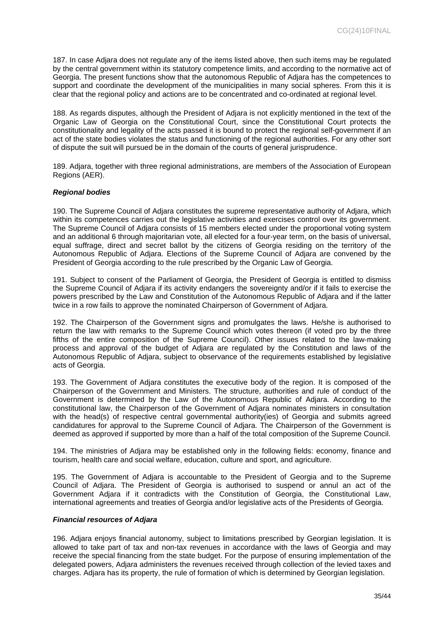187. In case Adjara does not regulate any of the items listed above, then such items may be regulated by the central government within its statutory competence limits, and according to the normative act of Georgia. The present functions show that the autonomous Republic of Adjara has the competences to support and coordinate the development of the municipalities in many social spheres. From this it is clear that the regional policy and actions are to be concentrated and co-ordinated at regional level.

188. As regards disputes, although the President of Adjara is not explicitly mentioned in the text of the Organic Law of Georgia on the Constitutional Court, since the Constitutional Court protects the constitutionality and legality of the acts passed it is bound to protect the regional self-government if an act of the state bodies violates the status and functioning of the regional authorities. For any other sort of dispute the suit will pursued be in the domain of the courts of general jurisprudence.

189. Adjara, together with three regional administrations, are members of the Association of European Regions (AER).

# <span id="page-34-0"></span>*Regional bodies*

190. The Supreme Council of Adjara constitutes the supreme representative authority of Adjara, which within its competences carries out the legislative activities and exercises control over its government. The Supreme Council of Adjara consists of 15 members elected under the proportional voting system and an additional 6 through majoritarian vote, all elected for a four-year term, on the basis of universal, equal suffrage, direct and secret ballot by the citizens of Georgia residing on the territory of the Autonomous Republic of Adjara. Elections of the Supreme Council of Adjara are convened by the President of Georgia according to the rule prescribed by the Organic Law of Georgia.

191. Subject to consent of the Parliament of Georgia, the President of Georgia is entitled to dismiss the Supreme Council of Adjara if its activity endangers the sovereignty and/or if it fails to exercise the powers prescribed by the Law and Constitution of the Autonomous Republic of Adjara and if the latter twice in a row fails to approve the nominated Chairperson of Government of Adjara.

192. The Chairperson of the Government signs and promulgates the laws. He/she is authorised to return the law with remarks to the Supreme Council which votes thereon (if voted pro by the three fifths of the entire composition of the Supreme Council). Other issues related to the law-making process and approval of the budget of Adjara are regulated by the Constitution and laws of the Autonomous Republic of Adjara, subject to observance of the requirements established by legislative acts of Georgia.

193. The Government of Adjara constitutes the executive body of the region. It is composed of the Chairperson of the Government and Ministers. The structure, authorities and rule of conduct of the Government is determined by the Law of the Autonomous Republic of Adjara. According to the constitutional law, the Chairperson of the Government of Adjara nominates ministers in consultation with the head(s) of respective central governmental authority(ies) of Georgia and submits agreed candidatures for approval to the Supreme Council of Adjara. The Chairperson of the Government is deemed as approved if supported by more than a half of the total composition of the Supreme Council.

194. The ministries of Adjara may be established only in the following fields: economy, finance and tourism, health care and social welfare, education, culture and sport, and agriculture.

195. The Government of Adjara is accountable to the President of Georgia and to the Supreme Council of Adjara. The President of Georgia is authorised to suspend or annul an act of the Government Adjara if it contradicts with the Constitution of Georgia, the Constitutional Law, international agreements and treaties of Georgia and/or legislative acts of the Presidents of Georgia.

# <span id="page-34-1"></span>*Financial resources of Adjara*

196. Adjara enjoys financial autonomy, subject to limitations prescribed by Georgian legislation. It is allowed to take part of tax and non-tax revenues in accordance with the laws of Georgia and may receive the special financing from the state budget. For the purpose of ensuring implementation of the delegated powers, Adjara administers the revenues received through collection of the levied taxes and charges. Adjara has its property, the rule of formation of which is determined by Georgian legislation.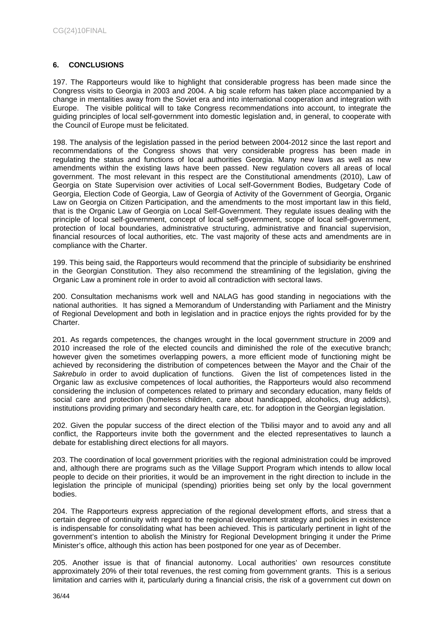# <span id="page-35-0"></span>**6. CONCLUSIONS**

197. The Rapporteurs would like to highlight that considerable progress has been made since the Congress visits to Georgia in 2003 and 2004. A big scale reform has taken place accompanied by a change in mentalities away from the Soviet era and into international cooperation and integration with Europe. The visible political will to take Congress recommendations into account, to integrate the guiding principles of local self-government into domestic legislation and, in general, to cooperate with the Council of Europe must be felicitated.

198. The analysis of the legislation passed in the period between 2004-2012 since the last report and recommendations of the Congress shows that very considerable progress has been made in regulating the status and functions of local authorities Georgia. Many new laws as well as new amendments within the existing laws have been passed. New regulation covers all areas of local government. The most relevant in this respect are the Constitutional amendments (2010), Law of Georgia on State Supervision over activities of Local self-Government Bodies, Budgetary Code of Georgia, Election Code of Georgia, Law of Georgia of Activity of the Government of Georgia, Organic Law on Georgia on Citizen Participation, and the amendments to the most important law in this field, that is the Organic Law of Georgia on Local Self-Government. They regulate issues dealing with the principle of local self-government, concept of local self-government, scope of local self-government, protection of local boundaries, administrative structuring, administrative and financial supervision, financial resources of local authorities, etc. The vast majority of these acts and amendments are in compliance with the Charter.

199. This being said, the Rapporteurs would recommend that the principle of subsidiarity be enshrined in the Georgian Constitution. They also recommend the streamlining of the legislation, giving the Organic Law a prominent role in order to avoid all contradiction with sectoral laws.

200. Consultation mechanisms work well and NALAG has good standing in negociations with the national authorities. It has signed a Memorandum of Understanding with Parliament and the Ministry of Regional Development and both in legislation and in practice enjoys the rights provided for by the Charter.

201. As regards competences, the changes wrought in the local government structure in 2009 and 2010 increased the role of the elected councils and diminished the role of the executive branch; however given the sometimes overlapping powers, a more efficient mode of functioning might be achieved by reconsidering the distribution of competences between the Mayor and the Chair of the *Sakrebulo* in order to avoid duplication of functions. Given the list of competences listed in the Organic law as exclusive competences of local authorities, the Rapporteurs would also recommend considering the inclusion of competences related to primary and secondary education, many fields of social care and protection (homeless children, care about handicapped, alcoholics, drug addicts), institutions providing primary and secondary health care, etc. for adoption in the Georgian legislation.

202. Given the popular success of the direct election of the Tbilisi mayor and to avoid any and all conflict, the Rapporteurs invite both the government and the elected representatives to launch a debate for establishing direct elections for all mayors.

203. The coordination of local government priorities with the regional administration could be improved and, although there are programs such as the Village Support Program which intends to allow local people to decide on their priorities, it would be an improvement in the right direction to include in the legislation the principle of municipal (spending) priorities being set only by the local government bodies.

204. The Rapporteurs express appreciation of the regional development efforts, and stress that a certain degree of continuity with regard to the regional development strategy and policies in existence is indispensable for consolidating what has been achieved. This is particularly pertinent in light of the government's intention to abolish the Ministry for Regional Development bringing it under the Prime Minister's office, although this action has been postponed for one year as of December.

205. Another issue is that of financial autonomy. Local authorities' own resources constitute approximately 20% of their total revenues, the rest coming from government grants. This is a serious limitation and carries with it, particularly during a financial crisis, the risk of a government cut down on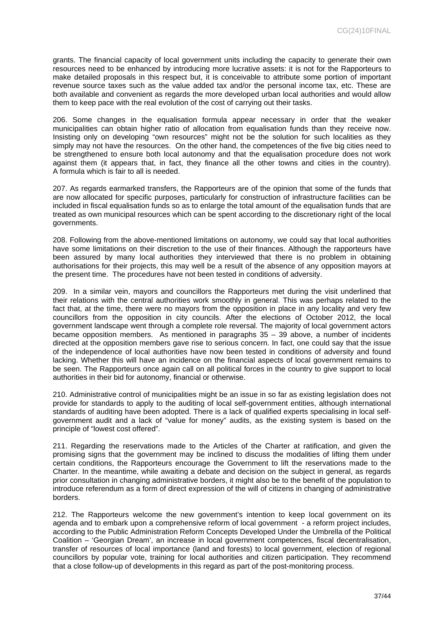grants. The financial capacity of local government units including the capacity to generate their own resources need to be enhanced by introducing more lucrative assets: it is not for the Rapporteurs to make detailed proposals in this respect but, it is conceivable to attribute some portion of important revenue source taxes such as the value added tax and/or the personal income tax, etc. These are both available and convenient as regards the more developed urban local authorities and would allow them to keep pace with the real evolution of the cost of carrying out their tasks.

206. Some changes in the equalisation formula appear necessary in order that the weaker municipalities can obtain higher ratio of allocation from equalisation funds than they receive now. Insisting only on developing "own resources" might not be the solution for such localities as they simply may not have the resources. On the other hand, the competences of the five big cities need to be strengthened to ensure both local autonomy and that the equalisation procedure does not work against them (it appears that, in fact, they finance all the other towns and cities in the country). A formula which is fair to all is needed.

207. As regards earmarked transfers, the Rapporteurs are of the opinion that some of the funds that are now allocated for specific purposes, particularly for construction of infrastructure facilities can be included in fiscal equalisation funds so as to enlarge the total amount of the equalisation funds that are treated as own municipal resources which can be spent according to the discretionary right of the local governments.

208. Following from the above-mentioned limitations on autonomy, we could say that local authorities have some limitations on their discretion to the use of their finances. Although the rapporteurs have been assured by many local authorities they interviewed that there is no problem in obtaining authorisations for their projects, this may well be a result of the absence of any opposition mayors at the present time. The procedures have not been tested in conditions of adversity.

209. In a similar vein, mayors and councillors the Rapporteurs met during the visit underlined that their relations with the central authorities work smoothly in general. This was perhaps related to the fact that, at the time, there were no mayors from the opposition in place in any locality and very few councillors from the opposition in city councils. After the elections of October 2012, the local government landscape went through a complete role reversal. The majority of local government actors became opposition members. As mentioned in paragraphs 35 – 39 above, a number of incidents directed at the opposition members gave rise to serious concern. In fact, one could say that the issue of the independence of local authorities have now been tested in conditions of adversity and found lacking. Whether this will have an incidence on the financial aspects of local government remains to be seen. The Rapporteurs once again call on all political forces in the country to give support to local authorities in their bid for autonomy, financial or otherwise.

210. Administrative control of municipalities might be an issue in so far as existing legislation does not provide for standards to apply to the auditing of local self-government entities, although international standards of auditing have been adopted. There is a lack of qualified experts specialising in local selfgovernment audit and a lack of "value for money" audits, as the existing system is based on the principle of "lowest cost offered".

211. Regarding the reservations made to the Articles of the Charter at ratification, and given the promising signs that the government may be inclined to discuss the modalities of lifting them under certain conditions, the Rapporteurs encourage the Government to lift the reservations made to the Charter. In the meantime, while awaiting a debate and decision on the subject in general, as regards prior consultation in changing administrative borders, it might also be to the benefit of the population to introduce referendum as a form of direct expression of the will of citizens in changing of administrative borders.

212. The Rapporteurs welcome the new government's intention to keep local government on its agenda and to embark upon a comprehensive reform of local government - a reform project includes, according to the Public Administration Reform Concepts Developed Under the Umbrella of the Political Coalition – 'Georgian Dream', an increase in local government competences, fiscal decentralisation, transfer of resources of local importance (land and forests) to local government, election of regional councillors by popular vote, training for local authorities and citizen participation. They recommend that a close follow-up of developments in this regard as part of the post-monitoring process.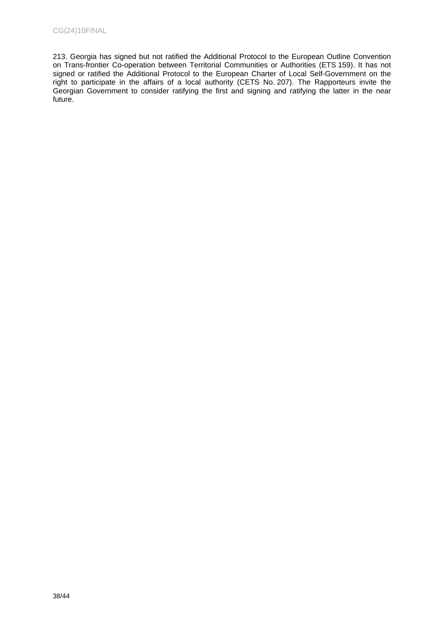213. Georgia has signed but not ratified the Additional Protocol to the European Outline Convention on Trans-frontier Co-operation between Territorial Communities or Authorities (ETS 159). It has not signed or ratified the Additional Protocol to the European Charter of Local Self-Government on the right to participate in the affairs of a local authority (CETS No. 207). The Rapporteurs invite the Georgian Government to consider ratifying the first and signing and ratifying the latter in the near future.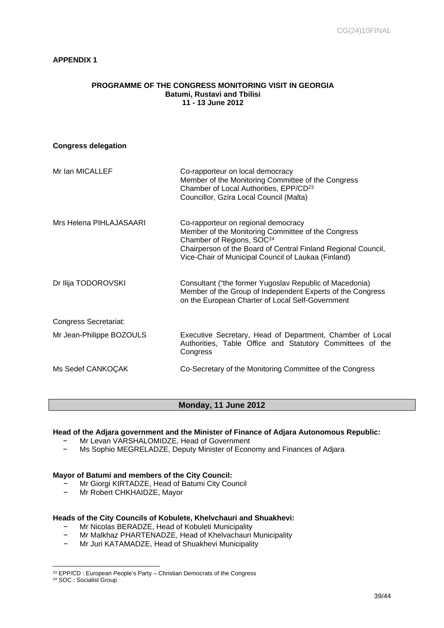# <span id="page-38-0"></span>**APPENDIX 1**

### **PROGRAMME OF THE CONGRESS MONITORING VISIT IN GEORGIA Batumi, Rustavi and Tbilisi 11 - 13 June 2012**

| <b>Congress delegation</b> |                                                                                                                                                                                                                                                            |
|----------------------------|------------------------------------------------------------------------------------------------------------------------------------------------------------------------------------------------------------------------------------------------------------|
| Mr Ian MICALLEF            | Co-rapporteur on local democracy<br>Member of the Monitoring Committee of the Congress<br>Chamber of Local Authorities, EPP/CD <sup>23</sup><br>Councillor, Gzira Local Council (Malta)                                                                    |
| Mrs Helena PIHLAJASAARI    | Co-rapporteur on regional democracy<br>Member of the Monitoring Committee of the Congress<br>Chamber of Regions, SOC <sup>24</sup><br>Chairperson of the Board of Central Finland Regional Council,<br>Vice-Chair of Municipal Council of Laukaa (Finland) |
| Dr Ilija TODOROVSKI        | Consultant ("the former Yugoslav Republic of Macedonia)<br>Member of the Group of Independent Experts of the Congress<br>on the European Charter of Local Self-Government                                                                                  |
| Congress Secretariat:      |                                                                                                                                                                                                                                                            |
| Mr Jean-Philippe BOZOULS   | Executive Secretary, Head of Department, Chamber of Local<br>Authorities, Table Office and Statutory Committees of the<br>Congress                                                                                                                         |
| Ms Sedef CANKOÇAK          | Co-Secretary of the Monitoring Committee of the Congress                                                                                                                                                                                                   |

# **Monday, 11 June 2012**

# **Head of the Adjara government and the Minister of Finance of Adjara Autonomous Republic:**

- Mr Levan VARSHALOMIDZE, Head of Government
- Ms Sophio MEGRELADZE, Deputy Minister of Economy and Finances of Adjara

# **Mayor of Batumi and members of the City Council:**

- − Mr Giorgi KIRTADZE, Head of Batumi City Council
- − Mr Robert CHKHAIDZE, Mayor

# **Heads of the City Councils of Kobulete, Khelvchauri and Shuakhevi:**

- − Mr Nicolas BERADZE, Head of Kobuleti Municipality<br>− Mr Malkhaz PHARTENADZE, Head of Khelyachauri
- − Mr Malkhaz PHARTENADZE, Head of Khelvachauri Municipality<br>- Mr Juri KATAMADZE, Head of Shuakhevi Municipality
- − Mr Juri KATAMADZE, Head of Shuakhevi Municipality

<sup>&</sup>lt;sup>23</sup> EPP/CD : European People's Party - Christian Democrats of the Congress

<sup>24</sup> SOC : Socialist Group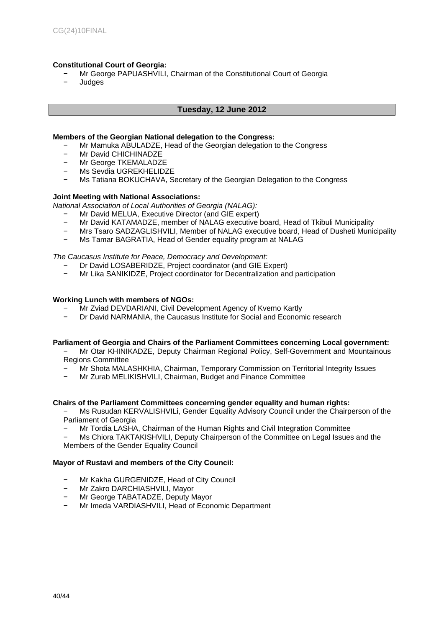# **Constitutional Court of Georgia:**

- Mr George PAPUASHVILI, Chairman of the Constitutional Court of Georgia
- − Judges

# **Tuesday, 12 June 2012**

# **Members of the Georgian National delegation to the Congress:**

- − Mr Mamuka ABULADZE, Head of the Georgian delegation to the Congress<br>- Mr David CHICHINADZE
- − Mr David CHICHINADZE
- − Mr George TKEMALADZE
- − Ms Sevdia UGREKHELIDZE
- − Ms Tatiana BOKUCHAVA, Secretary of the Georgian Delegation to the Congress

# **Joint Meeting with National Associations:**

*National Association of Local Authorities of Georgia (NALAG):*

- − Mr David MELUA, Executive Director (and GIE expert)
- − Mr David KATAMADZE, member of NALAG executive board, Head of Tkibuli Municipality
- − Mrs Tsaro SADZAGLISHVILI, Member of NALAG executive board, Head of Dusheti Municipality
- Ms Tamar BAGRATIA, Head of Gender equality program at NALAG

# *The Caucasus Institute for Peace, Democracy and Development:*

- − Dr David LOSABERIDZE, Project coordinator (and GIE Expert)
- − Mr [Lika SANIKIDZE](mailto:lia-san@cipdd.org), Project coordinator for Decentralization and participation

# **Working Lunch with members of NGOs:**

- Mr Zviad DEVDARIANI, Civil Development Agency of Kvemo Kartly
- Dr David NARMANIA, the Caucasus Institute for Social and Economic research

# **Parliament of Georgia and Chairs of the Parliament Committees concerning Local government:**

− Mr Otar KHINIKADZE, Deputy Chairman Regional Policy, Self-Government and Mountainous Regions Committee

- − Mr Shota MALASHKHIA, Chairman, Temporary Commission on Territorial Integrity Issues
- − Mr Zurab MELIKISHVILI, Chairman, Budget and Finance Committee

# **Chairs of the Parliament Committees concerning gender equality and human rights:**

- Ms Rusudan KERVALISHVILi, Gender Equality Advisory Council under the Chairperson of the Parliament of Georgia
- − Mr Tordia LASHA, Chairman of the Human Rights and Civil Integration Committee
- Ms Chiora TAKTAKISHVILI, Deputy Chairperson of the Committee on Legal Issues and the Members of the Gender Equality Council

# **Mayor of Rustavi and members of the City Council:**

- − Mr Kakha GURGENIDZE, Head of City Council
- − Mr Zakro DARCHIASHVILI, Mayor
- − Mr George TABATADZE, Deputy Mayor
- Mr Imeda VARDIASHVILI, Head of Economic Department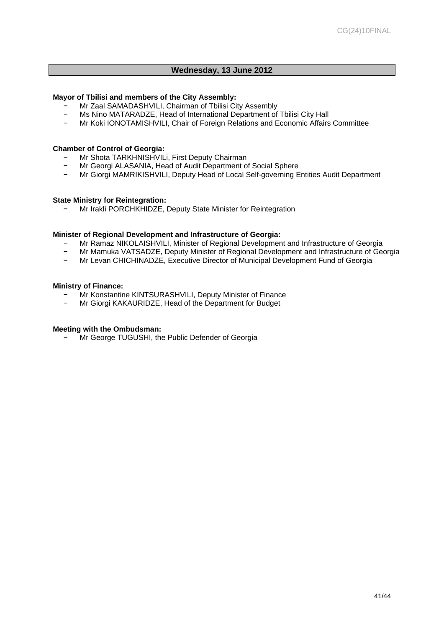# **Wednesday, 13 June 2012**

# **Mayor of Tbilisi and members of the City Assembly:**

- − Mr Zaal SAMADASHVILI, Chairman of Tbilisi City Assembly
- Ms Nino MATARADZE, Head of International Department of Tbilisi City Hall
- − Mr Koki IONOTAMISHVILI, Chair of Foreign Relations and Economic Affairs Committee

# **Chamber of Control of Georgia:**

- − Mr Shota TARKHNISHVILi, First Deputy Chairman
- − Mr Georgi ALASANIA, Head of Audit Department of Social Sphere
- − Mr Giorgi MAMRIKISHVILI, Deputy Head of Local Self-governing Entities Audit Department

# **State Ministry for Reintegration:**

− Mr Irakli PORCHKHIDZE, Deputy State Minister for Reintegration

# **Minister of Regional Development and Infrastructure of Georgia:**

- − Mr Ramaz NIKOLAISHVILI, Minister of Regional Development and Infrastructure of Georgia<br>− Mr Mamuka VATSADZE, Deputy Minister of Regional Development and Infrastructure of Geo
- − Mr Mamuka VATSADZE, Deputy Minister of Regional Development and Infrastructure of Georgia
- − Mr Levan CHICHINADZE, Executive Director of Municipal Development Fund of Georgia

# **Ministry of Finance:**

- − Mr Konstantine KINTSURASHVILI, Deputy Minister of Finance<br>- Mr Giorgi KAKALIPIDZE, Head of the Department for Budget
- − Mr Giorgi KAKAURIDZE, Head of the Department for Budget

# **Meeting with the Ombudsman:**

− Mr George TUGUSHI, the Public Defender of Georgia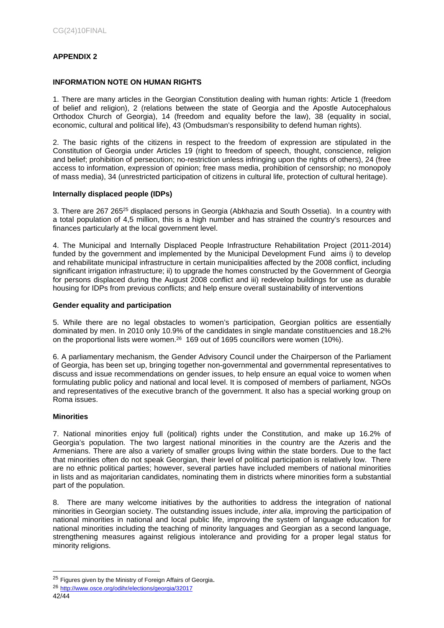# <span id="page-41-0"></span>**APPENDIX 2**

# **INFORMATION NOTE ON HUMAN RIGHTS**

1. There are many articles in the Georgian Constitution dealing with human rights: Article 1 (freedom of belief and religion), 2 (relations between the state of Georgia and the Apostle Autocephalous Orthodox Church of Georgia), 14 (freedom and equality before the law), 38 (equality in social, economic, cultural and political life), 43 (Ombudsman's responsibility to defend human rights).

2. The basic rights of the citizens in respect to the freedom of expression are stipulated in the Constitution of Georgia under Articles 19 (right to freedom of speech, thought, conscience, religion and belief; prohibition of persecution; no-restriction unless infringing upon the rights of others), 24 (free access to information, expression of opinion; free mass media, prohibition of censorship; no monopoly of mass media), 34 (unrestricted participation of citizens in cultural life, protection of cultural heritage).

# **Internally displaced people (IDPs)**

3. There are 267 265<sup>25</sup> displaced persons in Georgia (Abkhazia and South Ossetia). In a country with a total population of 4,5 million, this is a high number and has strained the country's resources and finances particularly at the local government level.

4. The Municipal and Internally Displaced People Infrastructure Rehabilitation Project (2011-2014) funded by the government and implemented by the Municipal Development Fund aims i) to develop and rehabilitate municipal infrastructure in certain municipalities affected by the 2008 conflict, including significant irrigation infrastructure; ii) to upgrade the homes constructed by the Government of Georgia for persons displaced during the August 2008 conflict and iii) redevelop buildings for use as durable housing for IDPs from previous conflicts; and help ensure overall sustainability of interventions

# **Gender equality and participation**

5. While there are no legal obstacles to women's participation, Georgian politics are essentially dominated by men. In 2010 only 10.9% of the candidates in single mandate constituencies and 18.2% on the proportional lists were women.<sup>26</sup> 169 out of 1695 councillors were women (10%).

6. A parliamentary mechanism, the Gender Advisory Council under the Chairperson of the Parliament of Georgia, has been set up, bringing together non-governmental and governmental representatives to discuss and issue recommendations on gender issues, to help ensure an equal voice to women when formulating public policy and national and local level. It is composed of members of parliament, NGOs and representatives of the executive branch of the government. It also has a special working group on Roma issues.

# **Minorities**

7. National minorities enjoy full (political) rights under the Constitution, and make up 16.2% of Georgia's population. The two largest national minorities in the country are the Azeris and the Armenians. There are also a variety of smaller groups living within the state borders. Due to the fact that minorities often do not speak Georgian, their level of political participation is relatively low. There are no ethnic political parties; however, several parties have included members of national minorities in lists and as majoritarian candidates, nominating them in districts where minorities form a substantial part of the population.

8. There are many welcome initiatives by the authorities to address the integration of national minorities in Georgian society. The outstanding issues include, *inter alia*, improving the participation of national minorities in national and local public life, improving the system of language education for national minorities including the teaching of minority languages and Georgian as a second language, strengthening measures against religious intolerance and providing for a proper legal status for minority religions.

<sup>&</sup>lt;sup>25</sup> Figures given by the Ministry of Foreign Affairs of Georgia.

<sup>42/44</sup> <sup>26</sup> <http://www.osce.org/odihr/elections/georgia/32017>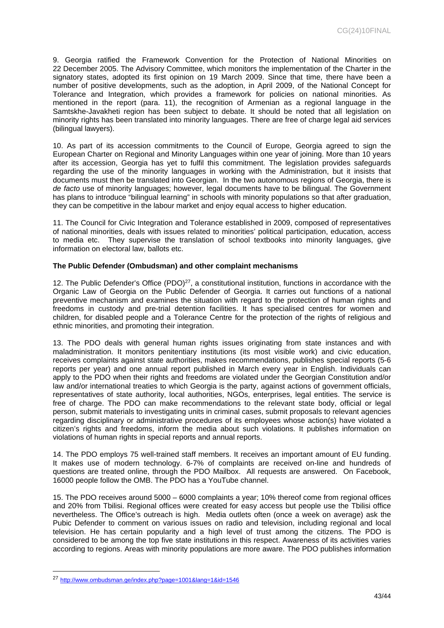9. Georgia ratified the Framework Convention for the Protection of National Minorities on 22 December 2005. The Advisory Committee, which monitors the implementation of the Charter in the signatory states, adopted its first opinion on 19 March 2009. Since that time, there have been a number of positive developments, such as the adoption, in April 2009, of the National Concept for Tolerance and Integration, which provides a framework for policies on national minorities. As mentioned in the report (para. 11), the recognition of Armenian as a regional language in the Samtskhe-Javakheti region has been subject to debate. It should be noted that all legislation on minority rights has been translated into minority languages. There are free of charge legal aid services (bilingual lawyers).

10. As part of its accession commitments to the Council of Europe, Georgia agreed to sign the European Charter on Regional and Minority Languages within one year of joining. More than 10 years after its accession, Georgia has yet to fulfil this commitment. The legislation provides safeguards regarding the use of the minority languages in working with the Administration, but it insists that documents must then be translated into Georgian. In the two autonomous regions of Georgia, there is *de facto* use of minority languages; however, legal documents have to be bilingual. The Government has plans to introduce "bilingual learning" in schools with minority populations so that after graduation, they can be competitive in the labour market and enjoy equal access to higher education.

11. The Council for Civic Integration and Tolerance established in 2009, composed of representatives of national minorities, deals with issues related to minorities' political participation, education, access to media etc. They supervise the translation of school textbooks into minority languages, give information on electoral law, ballots etc.

# **The Public Defender (Ombudsman) and other complaint mechanisms**

12. The Public Defender's Office  $(PDO)^{27}$ , a constitutional institution, functions in accordance with the Organic Law of Georgia on the Public Defender of Georgia. It carries out functions of a national preventive mechanism and examines the situation with regard to the protection of human rights and freedoms in custody and pre-trial detention facilities. It has specialised centres for women and children, for disabled people and a Tolerance Centre for the protection of the rights of religious and ethnic minorities, and promoting their integration.

13. The PDO deals with general human rights issues originating from state instances and with maladministration. It monitors penitentiary institutions (its most visible work) and civic education, receives complaints against state authorities, makes recommendations, publishes special reports (5-6 reports per year) and one annual report published in March every year in English. Individuals can apply to the PDO when their rights and freedoms are violated under the Georgian Constitution and/or law and/or international treaties to which Georgia is the party, against actions of government officials, representatives of state authority, local authorities, NGOs, enterprises, legal entities. The service is free of charge. The PDO can make recommendations to the relevant state body, official or legal person, submit materials to investigating units in criminal cases, submit proposals to relevant agencies regarding disciplinary or administrative procedures of its employees whose action(s) have violated a citizen's rights and freedoms, inform the media about such violations. It publishes information on violations of human rights in special reports and annual reports.

14. The PDO employs 75 well-trained staff members. It receives an important amount of EU funding. It makes use of modern technology. 6-7% of complaints are received on-line and hundreds of questions are treated online, through the PDO Mailbox. All requests are answered. On Facebook, 16000 people follow the OMB. The PDO has a YouTube channel.

15. The PDO receives around 5000 – 6000 complaints a year; 10% thereof come from regional offices and 20% from Tbilisi. Regional offices were created for easy access but people use the Tbilisi office nevertheless. The Office's outreach is high. Media outlets often (once a week on average) ask the Pubic Defender to comment on various issues on radio and television, including regional and local television. He has certain popularity and a high level of trust among the citizens. The PDO is considered to be among the top five state institutions in this respect. Awareness of its activities varies according to regions. Areas with minority populations are more aware. The PDO publishes information

<sup>27</sup> <http://www.ombudsman.ge/index.php?page=1001&lang=1&id=1546>